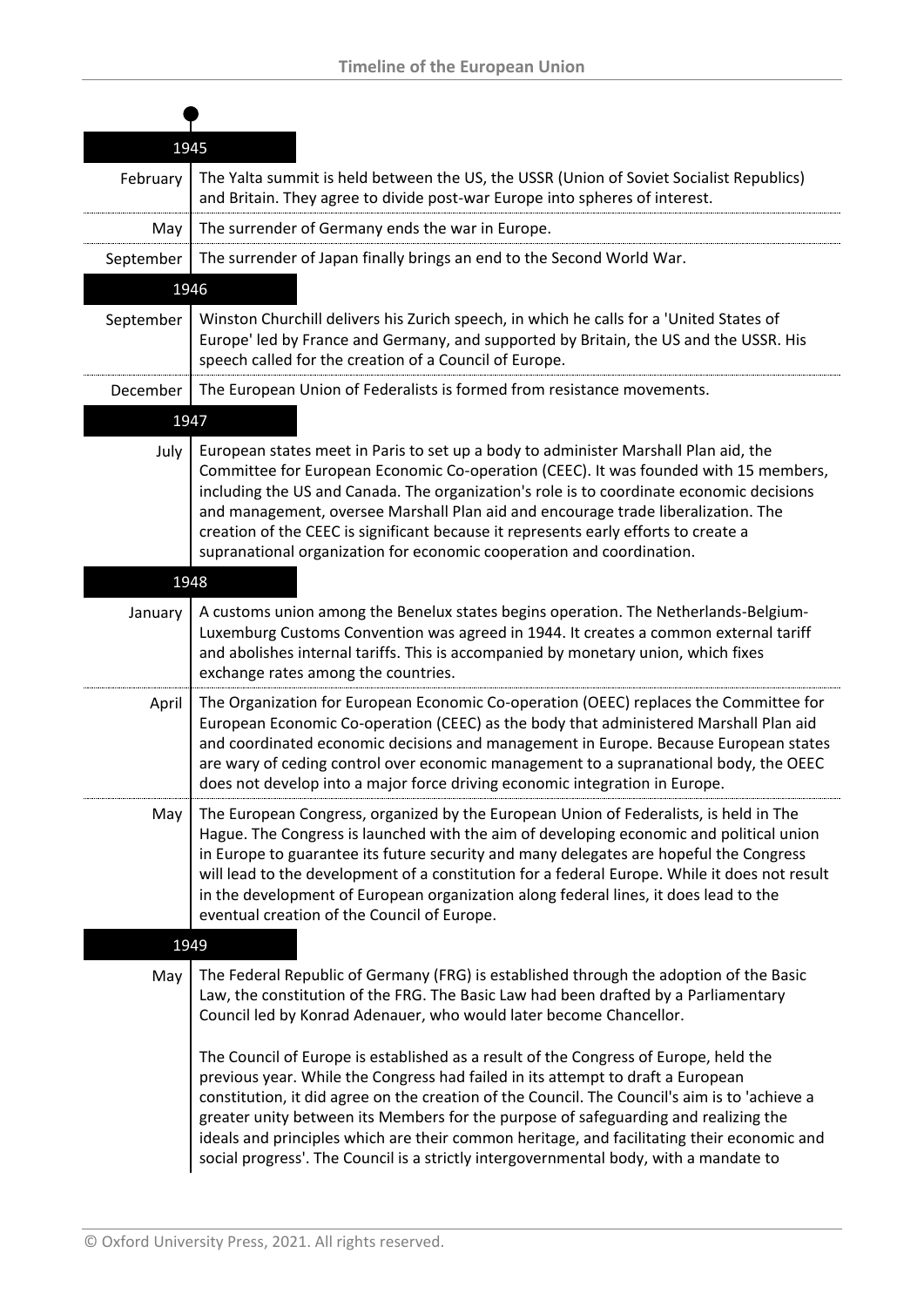|           | 1945                                                                                                                                                                                                                                                                                                                                                                                                                                                                                                                                                   |
|-----------|--------------------------------------------------------------------------------------------------------------------------------------------------------------------------------------------------------------------------------------------------------------------------------------------------------------------------------------------------------------------------------------------------------------------------------------------------------------------------------------------------------------------------------------------------------|
| February  | The Yalta summit is held between the US, the USSR (Union of Soviet Socialist Republics)<br>and Britain. They agree to divide post-war Europe into spheres of interest.                                                                                                                                                                                                                                                                                                                                                                                 |
| May       | The surrender of Germany ends the war in Europe.                                                                                                                                                                                                                                                                                                                                                                                                                                                                                                       |
| September | The surrender of Japan finally brings an end to the Second World War.                                                                                                                                                                                                                                                                                                                                                                                                                                                                                  |
|           | 1946                                                                                                                                                                                                                                                                                                                                                                                                                                                                                                                                                   |
| September | Winston Churchill delivers his Zurich speech, in which he calls for a 'United States of<br>Europe' led by France and Germany, and supported by Britain, the US and the USSR. His<br>speech called for the creation of a Council of Europe.                                                                                                                                                                                                                                                                                                             |
| December  | The European Union of Federalists is formed from resistance movements.                                                                                                                                                                                                                                                                                                                                                                                                                                                                                 |
|           | 1947                                                                                                                                                                                                                                                                                                                                                                                                                                                                                                                                                   |
| July      | European states meet in Paris to set up a body to administer Marshall Plan aid, the<br>Committee for European Economic Co-operation (CEEC). It was founded with 15 members,<br>including the US and Canada. The organization's role is to coordinate economic decisions<br>and management, oversee Marshall Plan aid and encourage trade liberalization. The<br>creation of the CEEC is significant because it represents early efforts to create a<br>supranational organization for economic cooperation and coordination.                           |
|           | 1948                                                                                                                                                                                                                                                                                                                                                                                                                                                                                                                                                   |
| January   | A customs union among the Benelux states begins operation. The Netherlands-Belgium-<br>Luxemburg Customs Convention was agreed in 1944. It creates a common external tariff<br>and abolishes internal tariffs. This is accompanied by monetary union, which fixes<br>exchange rates among the countries.                                                                                                                                                                                                                                               |
| April     | The Organization for European Economic Co-operation (OEEC) replaces the Committee for<br>European Economic Co-operation (CEEC) as the body that administered Marshall Plan aid<br>and coordinated economic decisions and management in Europe. Because European states<br>are wary of ceding control over economic management to a supranational body, the OEEC<br>does not develop into a major force driving economic integration in Europe.                                                                                                         |
| May       | The European Congress, organized by the European Union of Federalists, is held in The<br>Hague. The Congress is launched with the aim of developing economic and political union<br>in Europe to guarantee its future security and many delegates are hopeful the Congress<br>will lead to the development of a constitution for a federal Europe. While it does not result<br>in the development of European organization along federal lines, it does lead to the<br>eventual creation of the Council of Europe.                                     |
|           | 1949                                                                                                                                                                                                                                                                                                                                                                                                                                                                                                                                                   |
| May       | The Federal Republic of Germany (FRG) is established through the adoption of the Basic<br>Law, the constitution of the FRG. The Basic Law had been drafted by a Parliamentary<br>Council led by Konrad Adenauer, who would later become Chancellor.                                                                                                                                                                                                                                                                                                    |
|           | The Council of Europe is established as a result of the Congress of Europe, held the<br>previous year. While the Congress had failed in its attempt to draft a European<br>constitution, it did agree on the creation of the Council. The Council's aim is to 'achieve a<br>greater unity between its Members for the purpose of safeguarding and realizing the<br>ideals and principles which are their common heritage, and facilitating their economic and<br>social progress'. The Council is a strictly intergovernmental body, with a mandate to |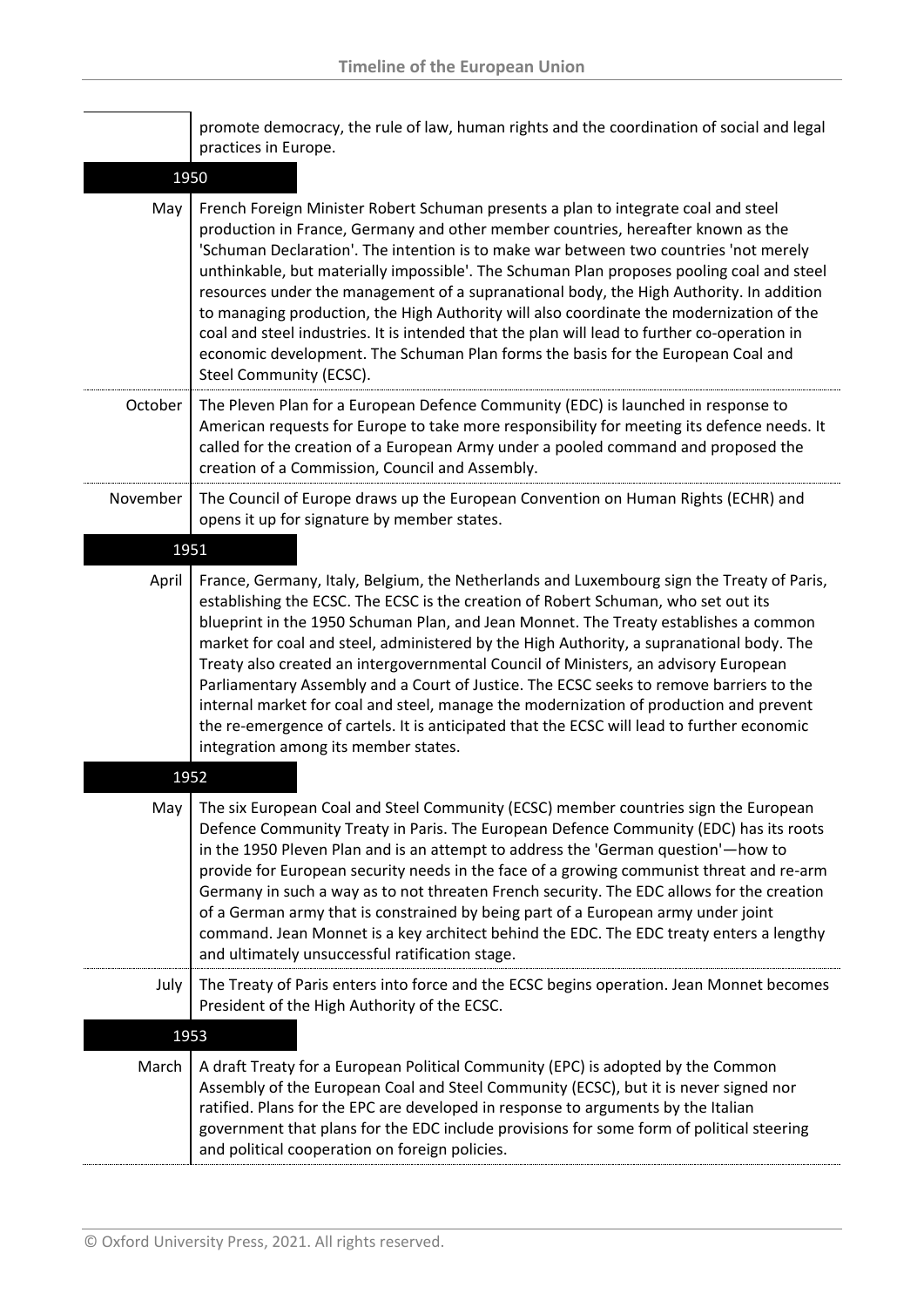|          | promote democracy, the rule of law, human rights and the coordination of social and legal<br>practices in Europe.                                                                                                                                                                                                                                                                                                                                                                                                                                                                                                                                                                                                                                                                     |
|----------|---------------------------------------------------------------------------------------------------------------------------------------------------------------------------------------------------------------------------------------------------------------------------------------------------------------------------------------------------------------------------------------------------------------------------------------------------------------------------------------------------------------------------------------------------------------------------------------------------------------------------------------------------------------------------------------------------------------------------------------------------------------------------------------|
| 1950     |                                                                                                                                                                                                                                                                                                                                                                                                                                                                                                                                                                                                                                                                                                                                                                                       |
| May      | French Foreign Minister Robert Schuman presents a plan to integrate coal and steel<br>production in France, Germany and other member countries, hereafter known as the<br>'Schuman Declaration'. The intention is to make war between two countries 'not merely<br>unthinkable, but materially impossible'. The Schuman Plan proposes pooling coal and steel<br>resources under the management of a supranational body, the High Authority. In addition<br>to managing production, the High Authority will also coordinate the modernization of the<br>coal and steel industries. It is intended that the plan will lead to further co-operation in<br>economic development. The Schuman Plan forms the basis for the European Coal and<br>Steel Community (ECSC).                    |
| October  | The Pleven Plan for a European Defence Community (EDC) is launched in response to<br>American requests for Europe to take more responsibility for meeting its defence needs. It<br>called for the creation of a European Army under a pooled command and proposed the<br>creation of a Commission, Council and Assembly.                                                                                                                                                                                                                                                                                                                                                                                                                                                              |
| November | The Council of Europe draws up the European Convention on Human Rights (ECHR) and<br>opens it up for signature by member states.                                                                                                                                                                                                                                                                                                                                                                                                                                                                                                                                                                                                                                                      |
| 1951     |                                                                                                                                                                                                                                                                                                                                                                                                                                                                                                                                                                                                                                                                                                                                                                                       |
| April    | France, Germany, Italy, Belgium, the Netherlands and Luxembourg sign the Treaty of Paris,<br>establishing the ECSC. The ECSC is the creation of Robert Schuman, who set out its<br>blueprint in the 1950 Schuman Plan, and Jean Monnet. The Treaty establishes a common<br>market for coal and steel, administered by the High Authority, a supranational body. The<br>Treaty also created an intergovernmental Council of Ministers, an advisory European<br>Parliamentary Assembly and a Court of Justice. The ECSC seeks to remove barriers to the<br>internal market for coal and steel, manage the modernization of production and prevent<br>the re-emergence of cartels. It is anticipated that the ECSC will lead to further economic<br>integration among its member states. |
| 1952     |                                                                                                                                                                                                                                                                                                                                                                                                                                                                                                                                                                                                                                                                                                                                                                                       |
| May      | The six European Coal and Steel Community (ECSC) member countries sign the European<br>Defence Community Treaty in Paris. The European Defence Community (EDC) has its roots<br>in the 1950 Pleven Plan and is an attempt to address the 'German question'—how to<br>provide for European security needs in the face of a growing communist threat and re-arm<br>Germany in such a way as to not threaten French security. The EDC allows for the creation<br>of a German army that is constrained by being part of a European army under joint<br>command. Jean Monnet is a key architect behind the EDC. The EDC treaty enters a lengthy<br>and ultimately unsuccessful ratification stage.                                                                                         |
| July     | The Treaty of Paris enters into force and the ECSC begins operation. Jean Monnet becomes<br>President of the High Authority of the ECSC.                                                                                                                                                                                                                                                                                                                                                                                                                                                                                                                                                                                                                                              |
| 1953     |                                                                                                                                                                                                                                                                                                                                                                                                                                                                                                                                                                                                                                                                                                                                                                                       |
| March    | A draft Treaty for a European Political Community (EPC) is adopted by the Common<br>Assembly of the European Coal and Steel Community (ECSC), but it is never signed nor<br>ratified. Plans for the EPC are developed in response to arguments by the Italian<br>government that plans for the EDC include provisions for some form of political steering<br>and political cooperation on foreign policies.                                                                                                                                                                                                                                                                                                                                                                           |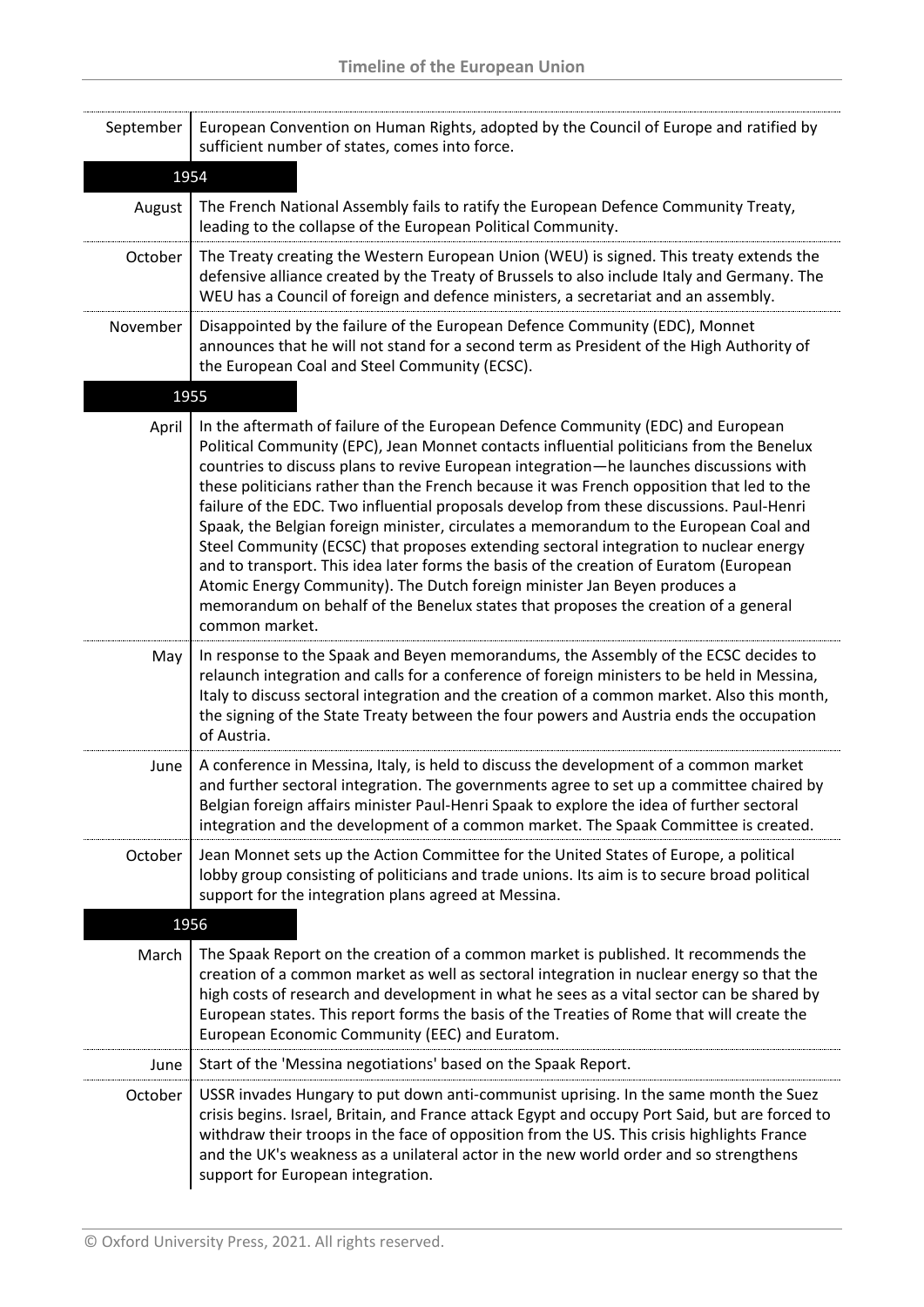| September | European Convention on Human Rights, adopted by the Council of Europe and ratified by<br>sufficient number of states, comes into force.                                                                                                                                                                                                                                                                                                                                                                                                                                                                                                                                                                                                                                                                                                                                                                                          |
|-----------|----------------------------------------------------------------------------------------------------------------------------------------------------------------------------------------------------------------------------------------------------------------------------------------------------------------------------------------------------------------------------------------------------------------------------------------------------------------------------------------------------------------------------------------------------------------------------------------------------------------------------------------------------------------------------------------------------------------------------------------------------------------------------------------------------------------------------------------------------------------------------------------------------------------------------------|
| 1954      |                                                                                                                                                                                                                                                                                                                                                                                                                                                                                                                                                                                                                                                                                                                                                                                                                                                                                                                                  |
| August    | The French National Assembly fails to ratify the European Defence Community Treaty,<br>leading to the collapse of the European Political Community.                                                                                                                                                                                                                                                                                                                                                                                                                                                                                                                                                                                                                                                                                                                                                                              |
| October   | The Treaty creating the Western European Union (WEU) is signed. This treaty extends the<br>defensive alliance created by the Treaty of Brussels to also include Italy and Germany. The<br>WEU has a Council of foreign and defence ministers, a secretariat and an assembly.                                                                                                                                                                                                                                                                                                                                                                                                                                                                                                                                                                                                                                                     |
| November  | Disappointed by the failure of the European Defence Community (EDC), Monnet<br>announces that he will not stand for a second term as President of the High Authority of<br>the European Coal and Steel Community (ECSC).                                                                                                                                                                                                                                                                                                                                                                                                                                                                                                                                                                                                                                                                                                         |
| 1955      |                                                                                                                                                                                                                                                                                                                                                                                                                                                                                                                                                                                                                                                                                                                                                                                                                                                                                                                                  |
| April     | In the aftermath of failure of the European Defence Community (EDC) and European<br>Political Community (EPC), Jean Monnet contacts influential politicians from the Benelux<br>countries to discuss plans to revive European integration-he launches discussions with<br>these politicians rather than the French because it was French opposition that led to the<br>failure of the EDC. Two influential proposals develop from these discussions. Paul-Henri<br>Spaak, the Belgian foreign minister, circulates a memorandum to the European Coal and<br>Steel Community (ECSC) that proposes extending sectoral integration to nuclear energy<br>and to transport. This idea later forms the basis of the creation of Euratom (European<br>Atomic Energy Community). The Dutch foreign minister Jan Beyen produces a<br>memorandum on behalf of the Benelux states that proposes the creation of a general<br>common market. |
| May       | In response to the Spaak and Beyen memorandums, the Assembly of the ECSC decides to<br>relaunch integration and calls for a conference of foreign ministers to be held in Messina,<br>Italy to discuss sectoral integration and the creation of a common market. Also this month,<br>the signing of the State Treaty between the four powers and Austria ends the occupation<br>of Austria.                                                                                                                                                                                                                                                                                                                                                                                                                                                                                                                                      |
| June      | A conference in Messina, Italy, is held to discuss the development of a common market<br>and further sectoral integration. The governments agree to set up a committee chaired by<br>Belgian foreign affairs minister Paul-Henri Spaak to explore the idea of further sectoral<br>integration and the development of a common market. The Spaak Committee is created.                                                                                                                                                                                                                                                                                                                                                                                                                                                                                                                                                            |
| October   | Jean Monnet sets up the Action Committee for the United States of Europe, a political<br>lobby group consisting of politicians and trade unions. Its aim is to secure broad political<br>support for the integration plans agreed at Messina.                                                                                                                                                                                                                                                                                                                                                                                                                                                                                                                                                                                                                                                                                    |
| 1956      |                                                                                                                                                                                                                                                                                                                                                                                                                                                                                                                                                                                                                                                                                                                                                                                                                                                                                                                                  |
| March     | The Spaak Report on the creation of a common market is published. It recommends the<br>creation of a common market as well as sectoral integration in nuclear energy so that the<br>high costs of research and development in what he sees as a vital sector can be shared by<br>European states. This report forms the basis of the Treaties of Rome that will create the<br>European Economic Community (EEC) and Euratom.                                                                                                                                                                                                                                                                                                                                                                                                                                                                                                     |
| June      | Start of the 'Messina negotiations' based on the Spaak Report.                                                                                                                                                                                                                                                                                                                                                                                                                                                                                                                                                                                                                                                                                                                                                                                                                                                                   |
| October   | USSR invades Hungary to put down anti-communist uprising. In the same month the Suez<br>crisis begins. Israel, Britain, and France attack Egypt and occupy Port Said, but are forced to<br>withdraw their troops in the face of opposition from the US. This crisis highlights France<br>and the UK's weakness as a unilateral actor in the new world order and so strengthens<br>support for European integration.                                                                                                                                                                                                                                                                                                                                                                                                                                                                                                              |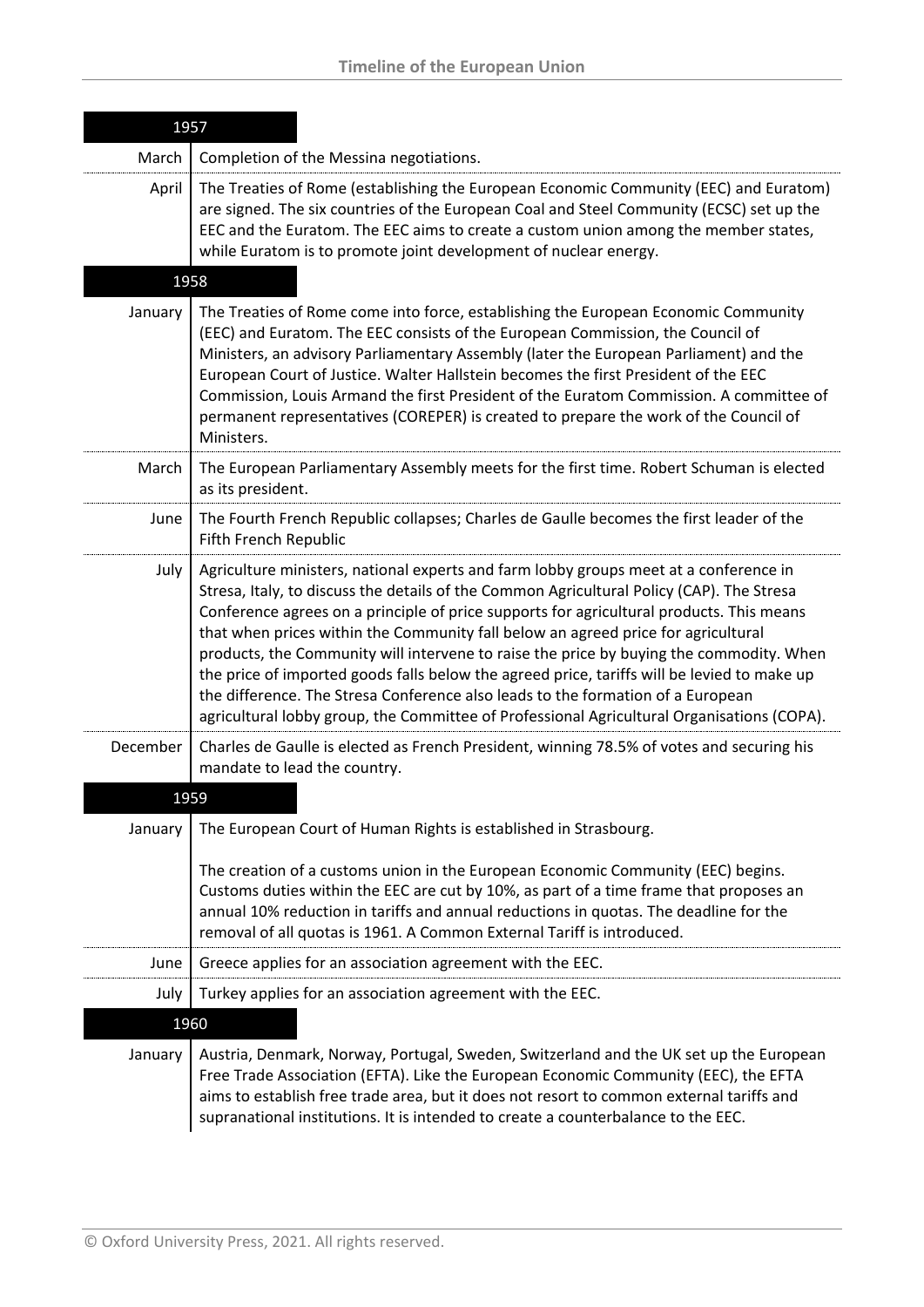|          | 1957                                                                                                                                                                                                                                                                                                                                                                                                                                                                                                                                                                                                                                                                                                                                           |
|----------|------------------------------------------------------------------------------------------------------------------------------------------------------------------------------------------------------------------------------------------------------------------------------------------------------------------------------------------------------------------------------------------------------------------------------------------------------------------------------------------------------------------------------------------------------------------------------------------------------------------------------------------------------------------------------------------------------------------------------------------------|
| March    | Completion of the Messina negotiations.                                                                                                                                                                                                                                                                                                                                                                                                                                                                                                                                                                                                                                                                                                        |
| April    | The Treaties of Rome (establishing the European Economic Community (EEC) and Euratom)<br>are signed. The six countries of the European Coal and Steel Community (ECSC) set up the<br>EEC and the Euratom. The EEC aims to create a custom union among the member states,<br>while Euratom is to promote joint development of nuclear energy.                                                                                                                                                                                                                                                                                                                                                                                                   |
|          | 1958                                                                                                                                                                                                                                                                                                                                                                                                                                                                                                                                                                                                                                                                                                                                           |
| January  | The Treaties of Rome come into force, establishing the European Economic Community<br>(EEC) and Euratom. The EEC consists of the European Commission, the Council of<br>Ministers, an advisory Parliamentary Assembly (later the European Parliament) and the<br>European Court of Justice. Walter Hallstein becomes the first President of the EEC<br>Commission, Louis Armand the first President of the Euratom Commission. A committee of<br>permanent representatives (COREPER) is created to prepare the work of the Council of<br>Ministers.                                                                                                                                                                                            |
| March    | The European Parliamentary Assembly meets for the first time. Robert Schuman is elected<br>as its president.                                                                                                                                                                                                                                                                                                                                                                                                                                                                                                                                                                                                                                   |
| June     | The Fourth French Republic collapses; Charles de Gaulle becomes the first leader of the<br><b>Fifth French Republic</b>                                                                                                                                                                                                                                                                                                                                                                                                                                                                                                                                                                                                                        |
| July     | Agriculture ministers, national experts and farm lobby groups meet at a conference in<br>Stresa, Italy, to discuss the details of the Common Agricultural Policy (CAP). The Stresa<br>Conference agrees on a principle of price supports for agricultural products. This means<br>that when prices within the Community fall below an agreed price for agricultural<br>products, the Community will intervene to raise the price by buying the commodity. When<br>the price of imported goods falls below the agreed price, tariffs will be levied to make up<br>the difference. The Stresa Conference also leads to the formation of a European<br>agricultural lobby group, the Committee of Professional Agricultural Organisations (COPA). |
| December | Charles de Gaulle is elected as French President, winning 78.5% of votes and securing his<br>mandate to lead the country.                                                                                                                                                                                                                                                                                                                                                                                                                                                                                                                                                                                                                      |
| 1959     |                                                                                                                                                                                                                                                                                                                                                                                                                                                                                                                                                                                                                                                                                                                                                |
| January  | The European Court of Human Rights is established in Strasbourg.<br>The creation of a customs union in the European Economic Community (EEC) begins.<br>Customs duties within the EEC are cut by 10%, as part of a time frame that proposes an<br>annual 10% reduction in tariffs and annual reductions in quotas. The deadline for the<br>removal of all quotas is 1961. A Common External Tariff is introduced.                                                                                                                                                                                                                                                                                                                              |
| June     | Greece applies for an association agreement with the EEC.                                                                                                                                                                                                                                                                                                                                                                                                                                                                                                                                                                                                                                                                                      |
| July     | Turkey applies for an association agreement with the EEC.                                                                                                                                                                                                                                                                                                                                                                                                                                                                                                                                                                                                                                                                                      |
|          | 1960                                                                                                                                                                                                                                                                                                                                                                                                                                                                                                                                                                                                                                                                                                                                           |
| January  | Austria, Denmark, Norway, Portugal, Sweden, Switzerland and the UK set up the European<br>Free Trade Association (EFTA). Like the European Economic Community (EEC), the EFTA<br>aims to establish free trade area, but it does not resort to common external tariffs and<br>supranational institutions. It is intended to create a counterbalance to the EEC.                                                                                                                                                                                                                                                                                                                                                                                 |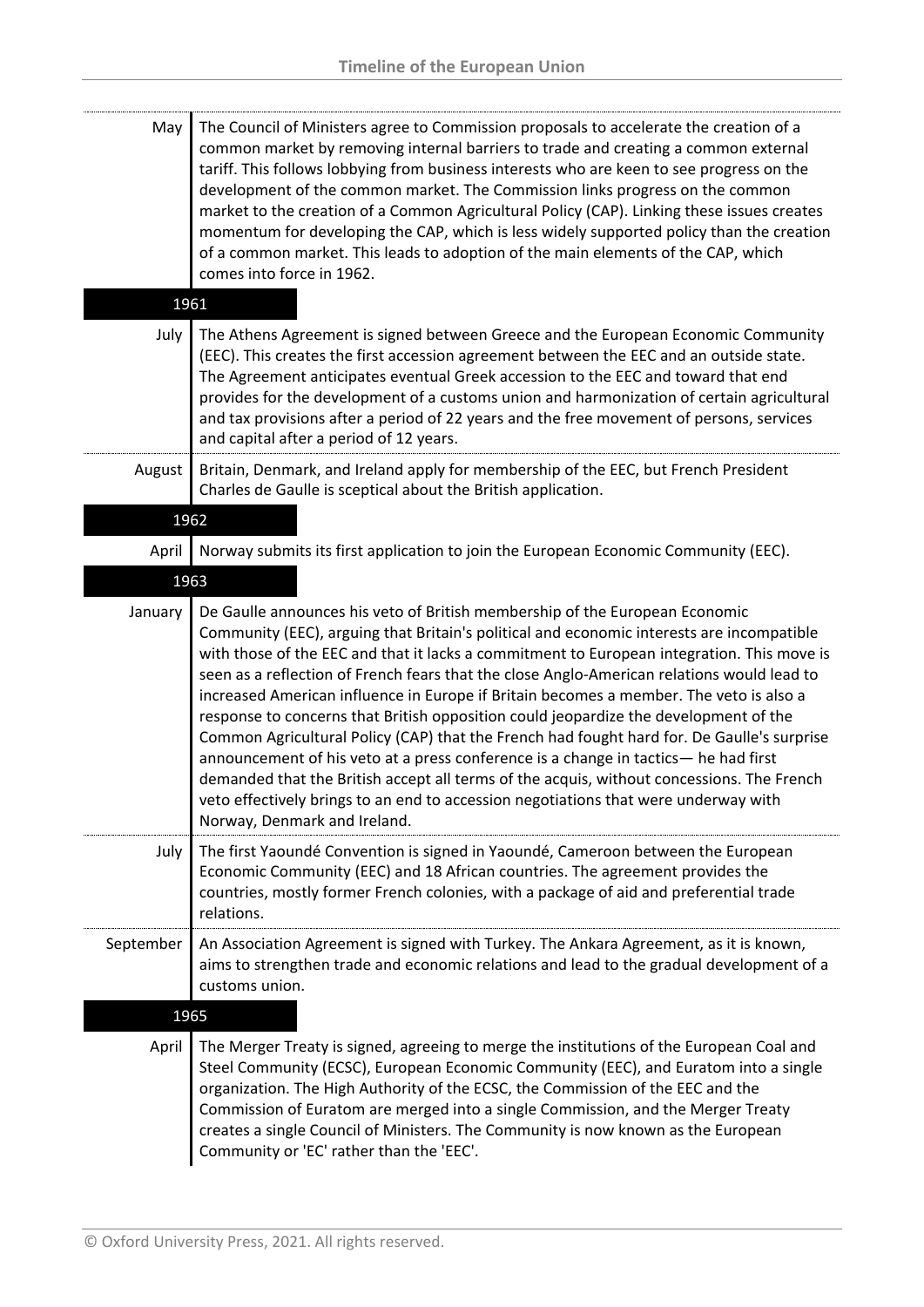| May       | The Council of Ministers agree to Commission proposals to accelerate the creation of a<br>common market by removing internal barriers to trade and creating a common external<br>tariff. This follows lobbying from business interests who are keen to see progress on the<br>development of the common market. The Commission links progress on the common<br>market to the creation of a Common Agricultural Policy (CAP). Linking these issues creates<br>momentum for developing the CAP, which is less widely supported policy than the creation<br>of a common market. This leads to adoption of the main elements of the CAP, which<br>comes into force in 1962.                                                                                                                                                                                                                                                                                         |
|-----------|-----------------------------------------------------------------------------------------------------------------------------------------------------------------------------------------------------------------------------------------------------------------------------------------------------------------------------------------------------------------------------------------------------------------------------------------------------------------------------------------------------------------------------------------------------------------------------------------------------------------------------------------------------------------------------------------------------------------------------------------------------------------------------------------------------------------------------------------------------------------------------------------------------------------------------------------------------------------|
|           | 1961                                                                                                                                                                                                                                                                                                                                                                                                                                                                                                                                                                                                                                                                                                                                                                                                                                                                                                                                                            |
| July      | The Athens Agreement is signed between Greece and the European Economic Community<br>(EEC). This creates the first accession agreement between the EEC and an outside state.<br>The Agreement anticipates eventual Greek accession to the EEC and toward that end<br>provides for the development of a customs union and harmonization of certain agricultural<br>and tax provisions after a period of 22 years and the free movement of persons, services<br>and capital after a period of 12 years.                                                                                                                                                                                                                                                                                                                                                                                                                                                           |
| August    | Britain, Denmark, and Ireland apply for membership of the EEC, but French President<br>Charles de Gaulle is sceptical about the British application.                                                                                                                                                                                                                                                                                                                                                                                                                                                                                                                                                                                                                                                                                                                                                                                                            |
|           | 1962                                                                                                                                                                                                                                                                                                                                                                                                                                                                                                                                                                                                                                                                                                                                                                                                                                                                                                                                                            |
| April     | Norway submits its first application to join the European Economic Community (EEC).                                                                                                                                                                                                                                                                                                                                                                                                                                                                                                                                                                                                                                                                                                                                                                                                                                                                             |
|           | 1963                                                                                                                                                                                                                                                                                                                                                                                                                                                                                                                                                                                                                                                                                                                                                                                                                                                                                                                                                            |
| January   | De Gaulle announces his veto of British membership of the European Economic<br>Community (EEC), arguing that Britain's political and economic interests are incompatible<br>with those of the EEC and that it lacks a commitment to European integration. This move is<br>seen as a reflection of French fears that the close Anglo-American relations would lead to<br>increased American influence in Europe if Britain becomes a member. The veto is also a<br>response to concerns that British opposition could jeopardize the development of the<br>Common Agricultural Policy (CAP) that the French had fought hard for. De Gaulle's surprise<br>announcement of his veto at a press conference is a change in tactics- he had first<br>demanded that the British accept all terms of the acquis, without concessions. The French<br>veto effectively brings to an end to accession negotiations that were underway with<br>Norway, Denmark and Ireland. |
| July      | The first Yaoundé Convention is signed in Yaoundé, Cameroon between the European<br>Economic Community (EEC) and 18 African countries. The agreement provides the<br>countries, mostly former French colonies, with a package of aid and preferential trade<br>relations.                                                                                                                                                                                                                                                                                                                                                                                                                                                                                                                                                                                                                                                                                       |
| September | An Association Agreement is signed with Turkey. The Ankara Agreement, as it is known,<br>aims to strengthen trade and economic relations and lead to the gradual development of a<br>customs union.                                                                                                                                                                                                                                                                                                                                                                                                                                                                                                                                                                                                                                                                                                                                                             |
|           | 1965                                                                                                                                                                                                                                                                                                                                                                                                                                                                                                                                                                                                                                                                                                                                                                                                                                                                                                                                                            |
| April     | The Merger Treaty is signed, agreeing to merge the institutions of the European Coal and<br>Steel Community (ECSC), European Economic Community (EEC), and Euratom into a single<br>organization. The High Authority of the ECSC, the Commission of the EEC and the<br>Commission of Euratom are merged into a single Commission, and the Merger Treaty                                                                                                                                                                                                                                                                                                                                                                                                                                                                                                                                                                                                         |

creates a single Council of Ministers. The Community is now known as the European

Community or 'EC' rather than the 'EEC'.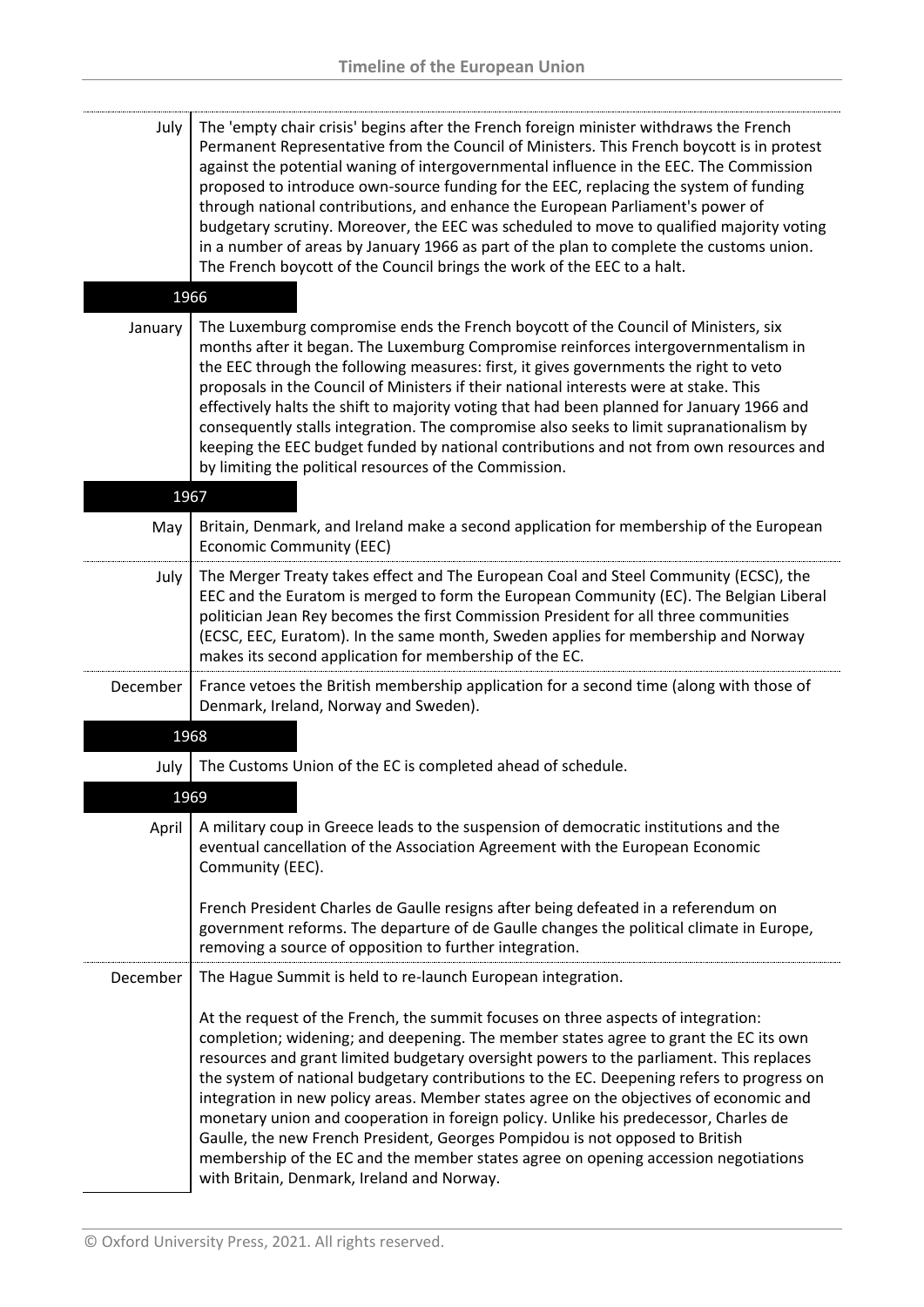| July<br>1966 | The 'empty chair crisis' begins after the French foreign minister withdraws the French<br>Permanent Representative from the Council of Ministers. This French boycott is in protest<br>against the potential waning of intergovernmental influence in the EEC. The Commission<br>proposed to introduce own-source funding for the EEC, replacing the system of funding<br>through national contributions, and enhance the European Parliament's power of<br>budgetary scrutiny. Moreover, the EEC was scheduled to move to qualified majority voting<br>in a number of areas by January 1966 as part of the plan to complete the customs union.<br>The French boycott of the Council brings the work of the EEC to a halt.                                              |
|--------------|-------------------------------------------------------------------------------------------------------------------------------------------------------------------------------------------------------------------------------------------------------------------------------------------------------------------------------------------------------------------------------------------------------------------------------------------------------------------------------------------------------------------------------------------------------------------------------------------------------------------------------------------------------------------------------------------------------------------------------------------------------------------------|
|              |                                                                                                                                                                                                                                                                                                                                                                                                                                                                                                                                                                                                                                                                                                                                                                         |
| January      | The Luxemburg compromise ends the French boycott of the Council of Ministers, six<br>months after it began. The Luxemburg Compromise reinforces intergovernmentalism in<br>the EEC through the following measures: first, it gives governments the right to veto<br>proposals in the Council of Ministers if their national interests were at stake. This<br>effectively halts the shift to majority voting that had been planned for January 1966 and<br>consequently stalls integration. The compromise also seeks to limit supranationalism by<br>keeping the EEC budget funded by national contributions and not from own resources and<br>by limiting the political resources of the Commission.                                                                   |
| 1967         |                                                                                                                                                                                                                                                                                                                                                                                                                                                                                                                                                                                                                                                                                                                                                                         |
| May          | Britain, Denmark, and Ireland make a second application for membership of the European<br><b>Economic Community (EEC)</b>                                                                                                                                                                                                                                                                                                                                                                                                                                                                                                                                                                                                                                               |
| July         | The Merger Treaty takes effect and The European Coal and Steel Community (ECSC), the<br>EEC and the Euratom is merged to form the European Community (EC). The Belgian Liberal<br>politician Jean Rey becomes the first Commission President for all three communities<br>(ECSC, EEC, Euratom). In the same month, Sweden applies for membership and Norway<br>makes its second application for membership of the EC.                                                                                                                                                                                                                                                                                                                                                   |
| December     | France vetoes the British membership application for a second time (along with those of<br>Denmark, Ireland, Norway and Sweden).                                                                                                                                                                                                                                                                                                                                                                                                                                                                                                                                                                                                                                        |
| 1968         |                                                                                                                                                                                                                                                                                                                                                                                                                                                                                                                                                                                                                                                                                                                                                                         |
| July         | The Customs Union of the EC is completed ahead of schedule.                                                                                                                                                                                                                                                                                                                                                                                                                                                                                                                                                                                                                                                                                                             |
| 1969         |                                                                                                                                                                                                                                                                                                                                                                                                                                                                                                                                                                                                                                                                                                                                                                         |
| April        | A military coup in Greece leads to the suspension of democratic institutions and the<br>eventual cancellation of the Association Agreement with the European Economic<br>Community (EEC).                                                                                                                                                                                                                                                                                                                                                                                                                                                                                                                                                                               |
|              | French President Charles de Gaulle resigns after being defeated in a referendum on<br>government reforms. The departure of de Gaulle changes the political climate in Europe,<br>removing a source of opposition to further integration.                                                                                                                                                                                                                                                                                                                                                                                                                                                                                                                                |
| December     | The Hague Summit is held to re-launch European integration.                                                                                                                                                                                                                                                                                                                                                                                                                                                                                                                                                                                                                                                                                                             |
|              | At the request of the French, the summit focuses on three aspects of integration:<br>completion; widening; and deepening. The member states agree to grant the EC its own<br>resources and grant limited budgetary oversight powers to the parliament. This replaces<br>the system of national budgetary contributions to the EC. Deepening refers to progress on<br>integration in new policy areas. Member states agree on the objectives of economic and<br>monetary union and cooperation in foreign policy. Unlike his predecessor, Charles de<br>Gaulle, the new French President, Georges Pompidou is not opposed to British<br>membership of the EC and the member states agree on opening accession negotiations<br>with Britain, Denmark, Ireland and Norway. |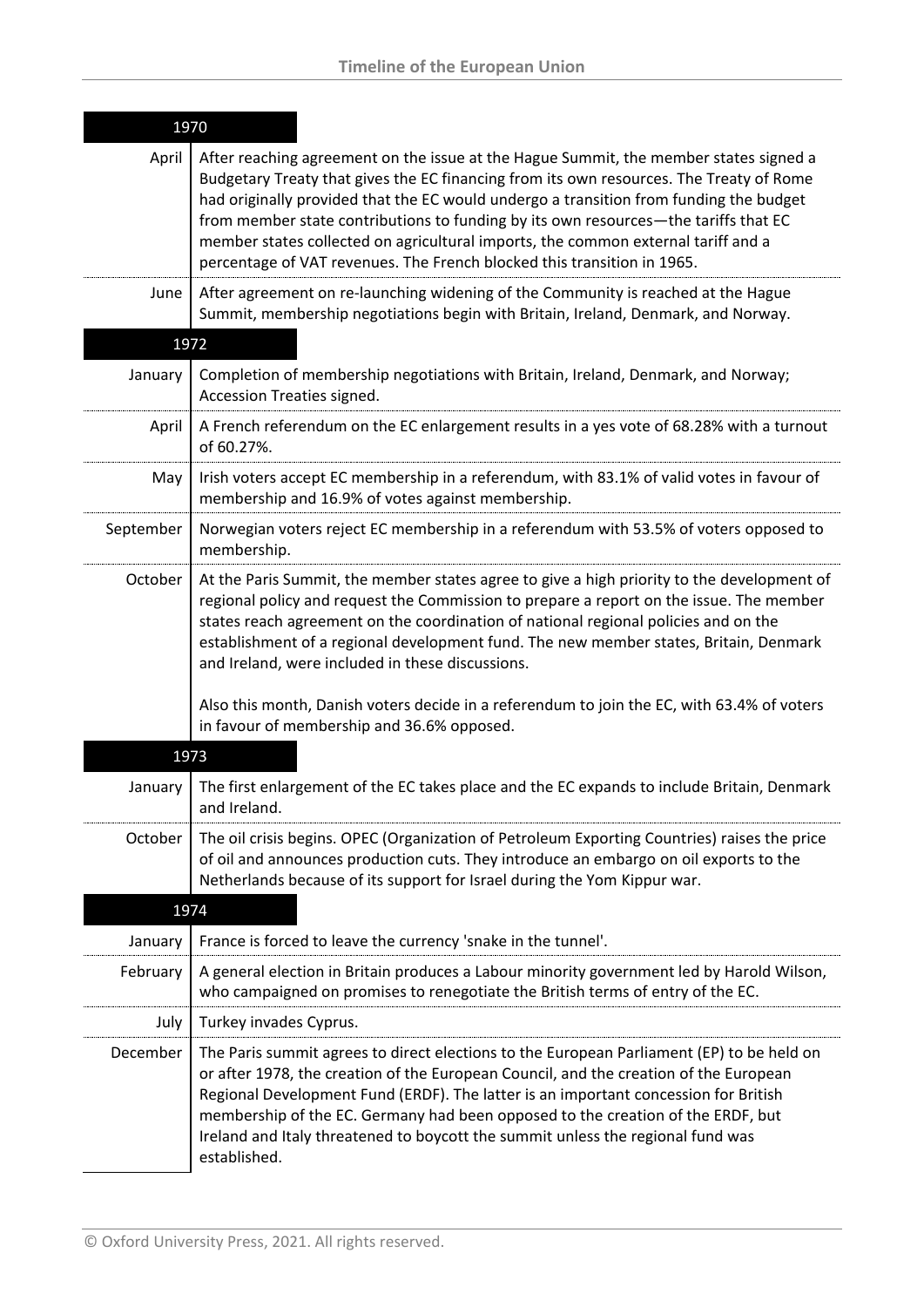| 1970      |                                                                                                                                                                                                                                                                                                                                                                                                                                                                                                                                   |
|-----------|-----------------------------------------------------------------------------------------------------------------------------------------------------------------------------------------------------------------------------------------------------------------------------------------------------------------------------------------------------------------------------------------------------------------------------------------------------------------------------------------------------------------------------------|
| April     | After reaching agreement on the issue at the Hague Summit, the member states signed a<br>Budgetary Treaty that gives the EC financing from its own resources. The Treaty of Rome<br>had originally provided that the EC would undergo a transition from funding the budget<br>from member state contributions to funding by its own resources-the tariffs that EC<br>member states collected on agricultural imports, the common external tariff and a<br>percentage of VAT revenues. The French blocked this transition in 1965. |
| June      | After agreement on re-launching widening of the Community is reached at the Hague<br>Summit, membership negotiations begin with Britain, Ireland, Denmark, and Norway.                                                                                                                                                                                                                                                                                                                                                            |
|           | 1972                                                                                                                                                                                                                                                                                                                                                                                                                                                                                                                              |
| January   | Completion of membership negotiations with Britain, Ireland, Denmark, and Norway;<br>Accession Treaties signed.                                                                                                                                                                                                                                                                                                                                                                                                                   |
| April     | A French referendum on the EC enlargement results in a yes vote of 68.28% with a turnout<br>of 60.27%.                                                                                                                                                                                                                                                                                                                                                                                                                            |
| May       | Irish voters accept EC membership in a referendum, with 83.1% of valid votes in favour of<br>membership and 16.9% of votes against membership.                                                                                                                                                                                                                                                                                                                                                                                    |
| September | Norwegian voters reject EC membership in a referendum with 53.5% of voters opposed to<br>membership.                                                                                                                                                                                                                                                                                                                                                                                                                              |
| October   | At the Paris Summit, the member states agree to give a high priority to the development of<br>regional policy and request the Commission to prepare a report on the issue. The member<br>states reach agreement on the coordination of national regional policies and on the<br>establishment of a regional development fund. The new member states, Britain, Denmark<br>and Ireland, were included in these discussions.                                                                                                         |
|           | Also this month, Danish voters decide in a referendum to join the EC, with 63.4% of voters<br>in favour of membership and 36.6% opposed.                                                                                                                                                                                                                                                                                                                                                                                          |
| 1973      |                                                                                                                                                                                                                                                                                                                                                                                                                                                                                                                                   |
| January   | The first enlargement of the EC takes place and the EC expands to include Britain, Denmark<br>and Ireland.                                                                                                                                                                                                                                                                                                                                                                                                                        |
| October   | The oil crisis begins. OPEC (Organization of Petroleum Exporting Countries) raises the price<br>of oil and announces production cuts. They introduce an embargo on oil exports to the<br>Netherlands because of its support for Israel during the Yom Kippur war.                                                                                                                                                                                                                                                                 |
|           | 1974                                                                                                                                                                                                                                                                                                                                                                                                                                                                                                                              |
| January   | France is forced to leave the currency 'snake in the tunnel'.                                                                                                                                                                                                                                                                                                                                                                                                                                                                     |
| February  | A general election in Britain produces a Labour minority government led by Harold Wilson,<br>who campaigned on promises to renegotiate the British terms of entry of the EC.                                                                                                                                                                                                                                                                                                                                                      |
| July      | Turkey invades Cyprus.                                                                                                                                                                                                                                                                                                                                                                                                                                                                                                            |
| December  | The Paris summit agrees to direct elections to the European Parliament (EP) to be held on<br>or after 1978, the creation of the European Council, and the creation of the European<br>Regional Development Fund (ERDF). The latter is an important concession for British<br>membership of the EC. Germany had been opposed to the creation of the ERDF, but<br>Ireland and Italy threatened to boycott the summit unless the regional fund was<br>established.                                                                   |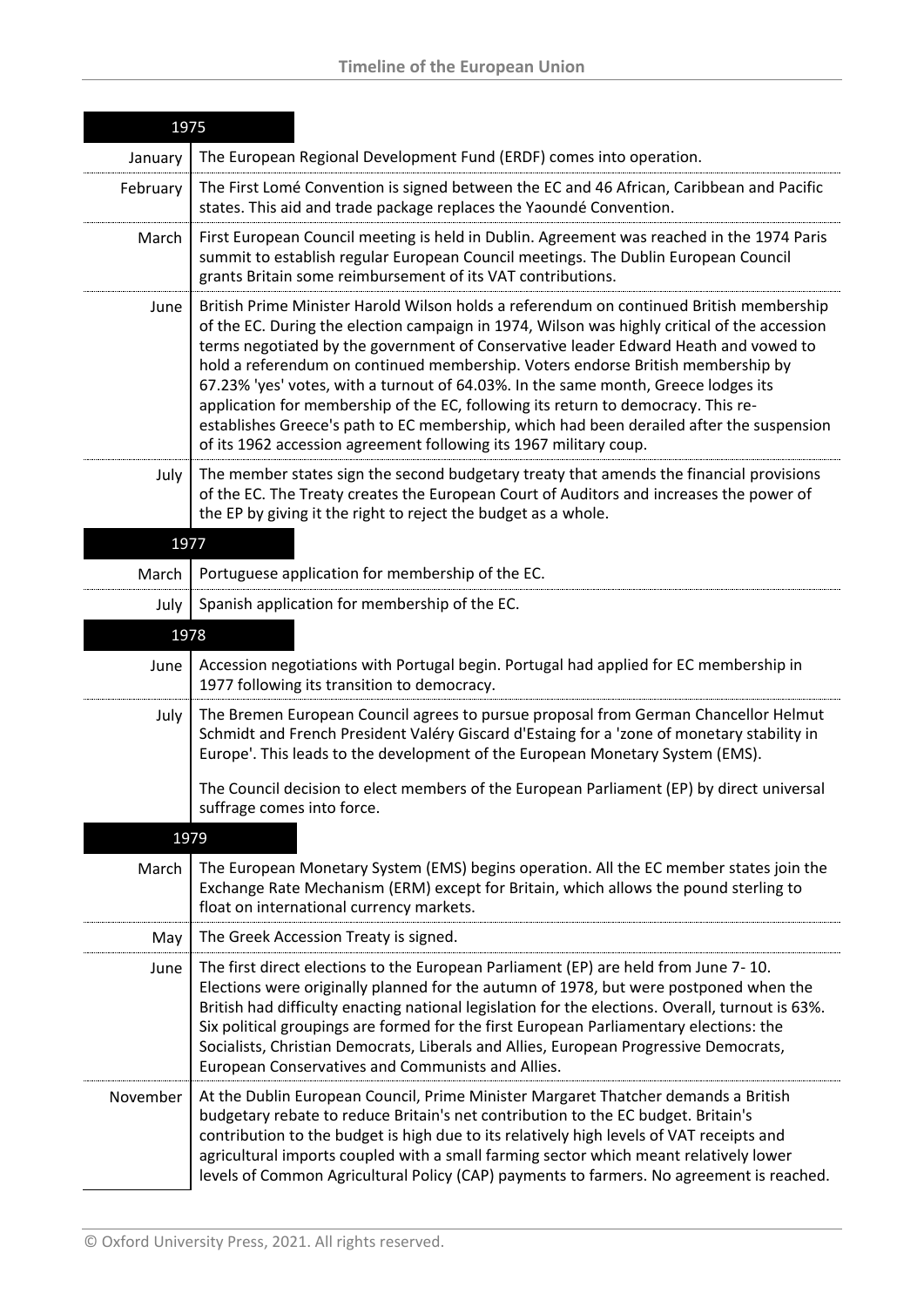| 1975     |                                                                                                                                                                                                                                                                                                                                                                                                                                                                                                                                                                                                                                                                                                               |
|----------|---------------------------------------------------------------------------------------------------------------------------------------------------------------------------------------------------------------------------------------------------------------------------------------------------------------------------------------------------------------------------------------------------------------------------------------------------------------------------------------------------------------------------------------------------------------------------------------------------------------------------------------------------------------------------------------------------------------|
| January  | The European Regional Development Fund (ERDF) comes into operation.                                                                                                                                                                                                                                                                                                                                                                                                                                                                                                                                                                                                                                           |
| February | The First Lomé Convention is signed between the EC and 46 African, Caribbean and Pacific<br>states. This aid and trade package replaces the Yaoundé Convention.                                                                                                                                                                                                                                                                                                                                                                                                                                                                                                                                               |
| March    | First European Council meeting is held in Dublin. Agreement was reached in the 1974 Paris<br>summit to establish regular European Council meetings. The Dublin European Council<br>grants Britain some reimbursement of its VAT contributions.                                                                                                                                                                                                                                                                                                                                                                                                                                                                |
| June     | British Prime Minister Harold Wilson holds a referendum on continued British membership<br>of the EC. During the election campaign in 1974, Wilson was highly critical of the accession<br>terms negotiated by the government of Conservative leader Edward Heath and vowed to<br>hold a referendum on continued membership. Voters endorse British membership by<br>67.23% 'yes' votes, with a turnout of 64.03%. In the same month, Greece lodges its<br>application for membership of the EC, following its return to democracy. This re-<br>establishes Greece's path to EC membership, which had been derailed after the suspension<br>of its 1962 accession agreement following its 1967 military coup. |
| July     | The member states sign the second budgetary treaty that amends the financial provisions<br>of the EC. The Treaty creates the European Court of Auditors and increases the power of<br>the EP by giving it the right to reject the budget as a whole.                                                                                                                                                                                                                                                                                                                                                                                                                                                          |
| 1977     |                                                                                                                                                                                                                                                                                                                                                                                                                                                                                                                                                                                                                                                                                                               |
| March    | Portuguese application for membership of the EC.                                                                                                                                                                                                                                                                                                                                                                                                                                                                                                                                                                                                                                                              |
| July     | Spanish application for membership of the EC.                                                                                                                                                                                                                                                                                                                                                                                                                                                                                                                                                                                                                                                                 |
| 1978     |                                                                                                                                                                                                                                                                                                                                                                                                                                                                                                                                                                                                                                                                                                               |
| June     | Accession negotiations with Portugal begin. Portugal had applied for EC membership in<br>1977 following its transition to democracy.                                                                                                                                                                                                                                                                                                                                                                                                                                                                                                                                                                          |
| July     | The Bremen European Council agrees to pursue proposal from German Chancellor Helmut<br>Schmidt and French President Valéry Giscard d'Estaing for a 'zone of monetary stability in<br>Europe'. This leads to the development of the European Monetary System (EMS).                                                                                                                                                                                                                                                                                                                                                                                                                                            |
|          | The Council decision to elect members of the European Parliament (EP) by direct universal<br>suffrage comes into force.                                                                                                                                                                                                                                                                                                                                                                                                                                                                                                                                                                                       |
| 1979     |                                                                                                                                                                                                                                                                                                                                                                                                                                                                                                                                                                                                                                                                                                               |
| March    | The European Monetary System (EMS) begins operation. All the EC member states join the<br>Exchange Rate Mechanism (ERM) except for Britain, which allows the pound sterling to<br>float on international currency markets.                                                                                                                                                                                                                                                                                                                                                                                                                                                                                    |
| May      | The Greek Accession Treaty is signed.                                                                                                                                                                                                                                                                                                                                                                                                                                                                                                                                                                                                                                                                         |
| June     | The first direct elections to the European Parliament (EP) are held from June 7-10.<br>Elections were originally planned for the autumn of 1978, but were postponed when the<br>British had difficulty enacting national legislation for the elections. Overall, turnout is 63%.<br>Six political groupings are formed for the first European Parliamentary elections: the<br>Socialists, Christian Democrats, Liberals and Allies, European Progressive Democrats,<br>European Conservatives and Communists and Allies.                                                                                                                                                                                      |
| November | At the Dublin European Council, Prime Minister Margaret Thatcher demands a British<br>budgetary rebate to reduce Britain's net contribution to the EC budget. Britain's<br>contribution to the budget is high due to its relatively high levels of VAT receipts and<br>agricultural imports coupled with a small farming sector which meant relatively lower<br>levels of Common Agricultural Policy (CAP) payments to farmers. No agreement is reached.                                                                                                                                                                                                                                                      |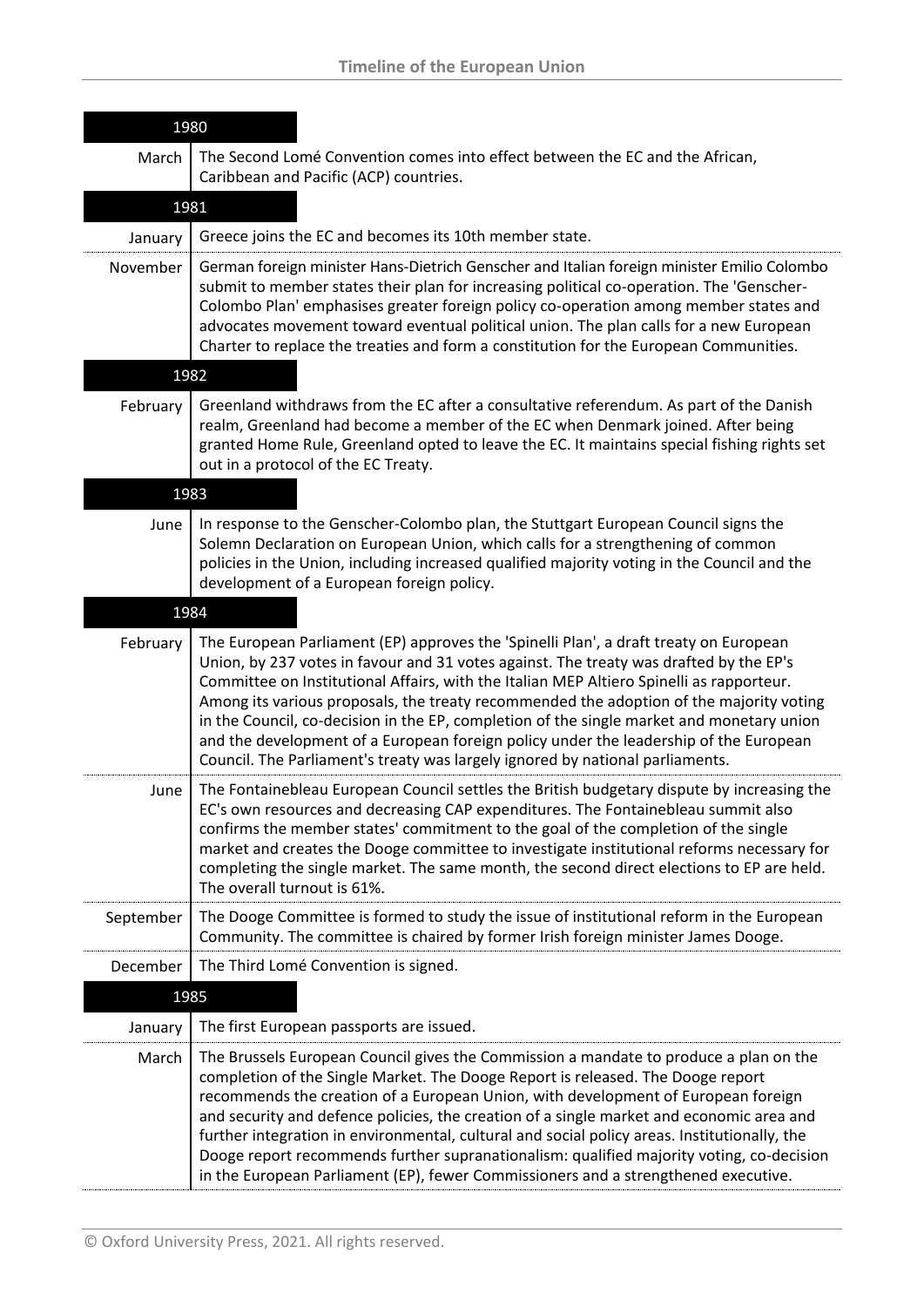| 1980      |                                                                                                                                                                                                                                                                                                                                                                                                                                                                                                                                                                                                                                               |
|-----------|-----------------------------------------------------------------------------------------------------------------------------------------------------------------------------------------------------------------------------------------------------------------------------------------------------------------------------------------------------------------------------------------------------------------------------------------------------------------------------------------------------------------------------------------------------------------------------------------------------------------------------------------------|
| March     | The Second Lomé Convention comes into effect between the EC and the African,<br>Caribbean and Pacific (ACP) countries.                                                                                                                                                                                                                                                                                                                                                                                                                                                                                                                        |
|           | 1981                                                                                                                                                                                                                                                                                                                                                                                                                                                                                                                                                                                                                                          |
| January   | Greece joins the EC and becomes its 10th member state.                                                                                                                                                                                                                                                                                                                                                                                                                                                                                                                                                                                        |
| November  | German foreign minister Hans-Dietrich Genscher and Italian foreign minister Emilio Colombo<br>submit to member states their plan for increasing political co-operation. The 'Genscher-<br>Colombo Plan' emphasises greater foreign policy co-operation among member states and<br>advocates movement toward eventual political union. The plan calls for a new European<br>Charter to replace the treaties and form a constitution for the European Communities.                                                                                                                                                                              |
|           | 1982                                                                                                                                                                                                                                                                                                                                                                                                                                                                                                                                                                                                                                          |
| February  | Greenland withdraws from the EC after a consultative referendum. As part of the Danish<br>realm, Greenland had become a member of the EC when Denmark joined. After being<br>granted Home Rule, Greenland opted to leave the EC. It maintains special fishing rights set<br>out in a protocol of the EC Treaty.                                                                                                                                                                                                                                                                                                                               |
|           | 1983                                                                                                                                                                                                                                                                                                                                                                                                                                                                                                                                                                                                                                          |
| June      | In response to the Genscher-Colombo plan, the Stuttgart European Council signs the<br>Solemn Declaration on European Union, which calls for a strengthening of common<br>policies in the Union, including increased qualified majority voting in the Council and the<br>development of a European foreign policy.                                                                                                                                                                                                                                                                                                                             |
|           | 1984                                                                                                                                                                                                                                                                                                                                                                                                                                                                                                                                                                                                                                          |
| February  | The European Parliament (EP) approves the 'Spinelli Plan', a draft treaty on European<br>Union, by 237 votes in favour and 31 votes against. The treaty was drafted by the EP's<br>Committee on Institutional Affairs, with the Italian MEP Altiero Spinelli as rapporteur.<br>Among its various proposals, the treaty recommended the adoption of the majority voting<br>in the Council, co-decision in the EP, completion of the single market and monetary union<br>and the development of a European foreign policy under the leadership of the European<br>Council. The Parliament's treaty was largely ignored by national parliaments. |
| June      | The Fontainebleau European Council settles the British budgetary dispute by increasing the<br>EC's own resources and decreasing CAP expenditures. The Fontainebleau summit also<br>confirms the member states' commitment to the goal of the completion of the single<br>market and creates the Dooge committee to investigate institutional reforms necessary for<br>completing the single market. The same month, the second direct elections to EP are held.<br>The overall turnout is 61%.                                                                                                                                                |
| September | The Dooge Committee is formed to study the issue of institutional reform in the European<br>Community. The committee is chaired by former Irish foreign minister James Dooge.                                                                                                                                                                                                                                                                                                                                                                                                                                                                 |
| December  | The Third Lomé Convention is signed.                                                                                                                                                                                                                                                                                                                                                                                                                                                                                                                                                                                                          |
|           | 1985                                                                                                                                                                                                                                                                                                                                                                                                                                                                                                                                                                                                                                          |
| January   | The first European passports are issued.                                                                                                                                                                                                                                                                                                                                                                                                                                                                                                                                                                                                      |
| March     | The Brussels European Council gives the Commission a mandate to produce a plan on the<br>completion of the Single Market. The Dooge Report is released. The Dooge report<br>recommends the creation of a European Union, with development of European foreign<br>and security and defence policies, the creation of a single market and economic area and<br>further integration in environmental, cultural and social policy areas. Institutionally, the<br>Dooge report recommends further supranationalism: qualified majority voting, co-decision<br>in the European Parliament (EP), fewer Commissioners and a strengthened executive.   |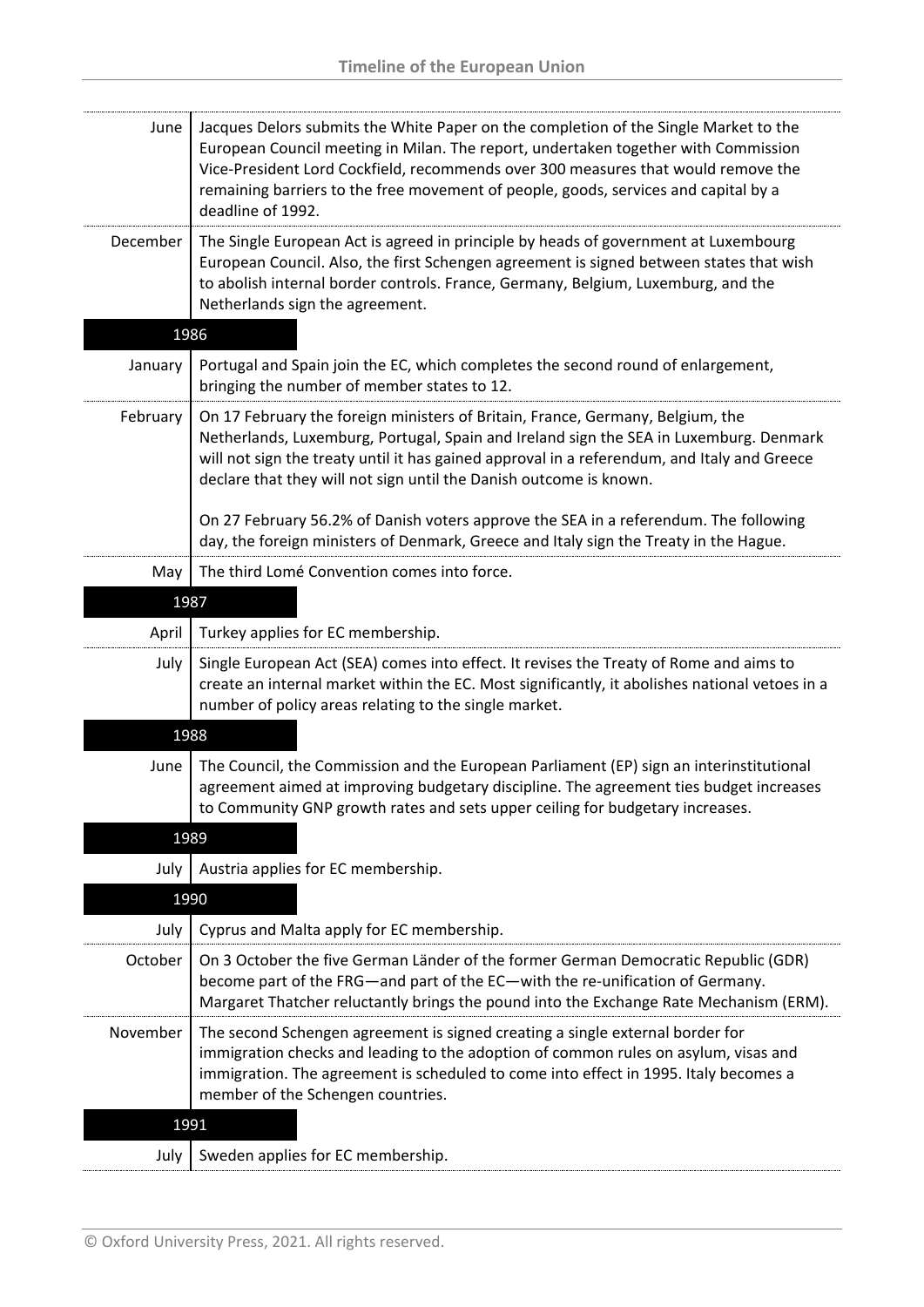| June     | Jacques Delors submits the White Paper on the completion of the Single Market to the<br>European Council meeting in Milan. The report, undertaken together with Commission<br>Vice-President Lord Cockfield, recommends over 300 measures that would remove the<br>remaining barriers to the free movement of people, goods, services and capital by a<br>deadline of 1992. |
|----------|-----------------------------------------------------------------------------------------------------------------------------------------------------------------------------------------------------------------------------------------------------------------------------------------------------------------------------------------------------------------------------|
| December | The Single European Act is agreed in principle by heads of government at Luxembourg<br>European Council. Also, the first Schengen agreement is signed between states that wish<br>to abolish internal border controls. France, Germany, Belgium, Luxemburg, and the<br>Netherlands sign the agreement.                                                                      |
| 1986     |                                                                                                                                                                                                                                                                                                                                                                             |
| January  | Portugal and Spain join the EC, which completes the second round of enlargement,<br>bringing the number of member states to 12.                                                                                                                                                                                                                                             |
| February | On 17 February the foreign ministers of Britain, France, Germany, Belgium, the<br>Netherlands, Luxemburg, Portugal, Spain and Ireland sign the SEA in Luxemburg. Denmark<br>will not sign the treaty until it has gained approval in a referendum, and Italy and Greece<br>declare that they will not sign until the Danish outcome is known.                               |
|          | On 27 February 56.2% of Danish voters approve the SEA in a referendum. The following<br>day, the foreign ministers of Denmark, Greece and Italy sign the Treaty in the Hague.                                                                                                                                                                                               |
| May      | The third Lomé Convention comes into force.                                                                                                                                                                                                                                                                                                                                 |
| 1987     |                                                                                                                                                                                                                                                                                                                                                                             |
| April    | Turkey applies for EC membership.                                                                                                                                                                                                                                                                                                                                           |
| July     | Single European Act (SEA) comes into effect. It revises the Treaty of Rome and aims to<br>create an internal market within the EC. Most significantly, it abolishes national vetoes in a<br>number of policy areas relating to the single market.                                                                                                                           |
| 1988     |                                                                                                                                                                                                                                                                                                                                                                             |
| June     | The Council, the Commission and the European Parliament (EP) sign an interinstitutional<br>agreement aimed at improving budgetary discipline. The agreement ties budget increases<br>to Community GNP growth rates and sets upper ceiling for budgetary increases.                                                                                                          |
| 1989     |                                                                                                                                                                                                                                                                                                                                                                             |
| July     | Austria applies for EC membership.                                                                                                                                                                                                                                                                                                                                          |
| 1990     |                                                                                                                                                                                                                                                                                                                                                                             |
| July     | Cyprus and Malta apply for EC membership.                                                                                                                                                                                                                                                                                                                                   |
| October  | On 3 October the five German Länder of the former German Democratic Republic (GDR)<br>become part of the FRG—and part of the EC—with the re-unification of Germany.<br>Margaret Thatcher reluctantly brings the pound into the Exchange Rate Mechanism (ERM).                                                                                                               |
| November | The second Schengen agreement is signed creating a single external border for<br>immigration checks and leading to the adoption of common rules on asylum, visas and<br>immigration. The agreement is scheduled to come into effect in 1995. Italy becomes a<br>member of the Schengen countries.                                                                           |
| 1991     |                                                                                                                                                                                                                                                                                                                                                                             |
| July     | Sweden applies for EC membership.                                                                                                                                                                                                                                                                                                                                           |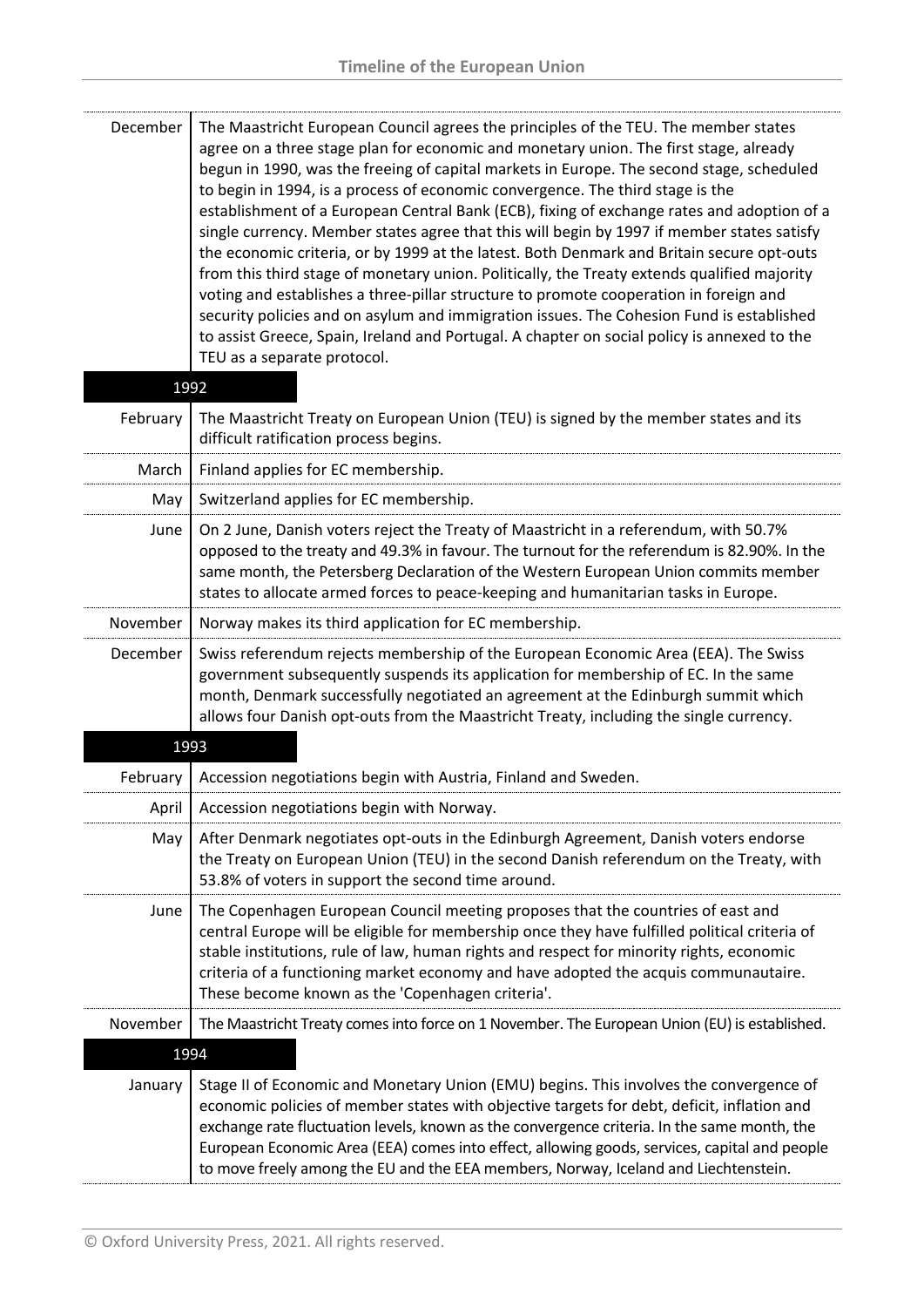| December | The Maastricht European Council agrees the principles of the TEU. The member states<br>agree on a three stage plan for economic and monetary union. The first stage, already<br>begun in 1990, was the freeing of capital markets in Europe. The second stage, scheduled<br>to begin in 1994, is a process of economic convergence. The third stage is the<br>establishment of a European Central Bank (ECB), fixing of exchange rates and adoption of a<br>single currency. Member states agree that this will begin by 1997 if member states satisfy<br>the economic criteria, or by 1999 at the latest. Both Denmark and Britain secure opt-outs<br>from this third stage of monetary union. Politically, the Treaty extends qualified majority<br>voting and establishes a three-pillar structure to promote cooperation in foreign and<br>security policies and on asylum and immigration issues. The Cohesion Fund is established<br>to assist Greece, Spain, Ireland and Portugal. A chapter on social policy is annexed to the<br>TEU as a separate protocol. |
|----------|-----------------------------------------------------------------------------------------------------------------------------------------------------------------------------------------------------------------------------------------------------------------------------------------------------------------------------------------------------------------------------------------------------------------------------------------------------------------------------------------------------------------------------------------------------------------------------------------------------------------------------------------------------------------------------------------------------------------------------------------------------------------------------------------------------------------------------------------------------------------------------------------------------------------------------------------------------------------------------------------------------------------------------------------------------------------------|
| 1992     |                                                                                                                                                                                                                                                                                                                                                                                                                                                                                                                                                                                                                                                                                                                                                                                                                                                                                                                                                                                                                                                                       |
| February | The Maastricht Treaty on European Union (TEU) is signed by the member states and its<br>difficult ratification process begins.                                                                                                                                                                                                                                                                                                                                                                                                                                                                                                                                                                                                                                                                                                                                                                                                                                                                                                                                        |
| March    | Finland applies for EC membership.                                                                                                                                                                                                                                                                                                                                                                                                                                                                                                                                                                                                                                                                                                                                                                                                                                                                                                                                                                                                                                    |
| May      | Switzerland applies for EC membership.                                                                                                                                                                                                                                                                                                                                                                                                                                                                                                                                                                                                                                                                                                                                                                                                                                                                                                                                                                                                                                |
| June     | On 2 June, Danish voters reject the Treaty of Maastricht in a referendum, with 50.7%<br>opposed to the treaty and 49.3% in favour. The turnout for the referendum is 82.90%. In the<br>same month, the Petersberg Declaration of the Western European Union commits member<br>states to allocate armed forces to peace-keeping and humanitarian tasks in Europe.                                                                                                                                                                                                                                                                                                                                                                                                                                                                                                                                                                                                                                                                                                      |
| November | Norway makes its third application for EC membership.                                                                                                                                                                                                                                                                                                                                                                                                                                                                                                                                                                                                                                                                                                                                                                                                                                                                                                                                                                                                                 |
| December | Swiss referendum rejects membership of the European Economic Area (EEA). The Swiss<br>government subsequently suspends its application for membership of EC. In the same<br>month, Denmark successfully negotiated an agreement at the Edinburgh summit which<br>allows four Danish opt-outs from the Maastricht Treaty, including the single currency.                                                                                                                                                                                                                                                                                                                                                                                                                                                                                                                                                                                                                                                                                                               |
| 1993     |                                                                                                                                                                                                                                                                                                                                                                                                                                                                                                                                                                                                                                                                                                                                                                                                                                                                                                                                                                                                                                                                       |
| February | Accession negotiations begin with Austria, Finland and Sweden.                                                                                                                                                                                                                                                                                                                                                                                                                                                                                                                                                                                                                                                                                                                                                                                                                                                                                                                                                                                                        |
| April    | Accession negotiations begin with Norway.                                                                                                                                                                                                                                                                                                                                                                                                                                                                                                                                                                                                                                                                                                                                                                                                                                                                                                                                                                                                                             |
| May      | After Denmark negotiates opt-outs in the Edinburgh Agreement, Danish voters endorse<br>the Treaty on European Union (TEU) in the second Danish referendum on the Treaty, with<br>53.8% of voters in support the second time around.                                                                                                                                                                                                                                                                                                                                                                                                                                                                                                                                                                                                                                                                                                                                                                                                                                   |
| June     | The Copenhagen European Council meeting proposes that the countries of east and<br>central Europe will be eligible for membership once they have fulfilled political criteria of<br>stable institutions, rule of law, human rights and respect for minority rights, economic<br>criteria of a functioning market economy and have adopted the acquis communautaire.<br>These become known as the 'Copenhagen criteria'.                                                                                                                                                                                                                                                                                                                                                                                                                                                                                                                                                                                                                                               |
| November | The Maastricht Treaty comes into force on 1 November. The European Union (EU) is established.                                                                                                                                                                                                                                                                                                                                                                                                                                                                                                                                                                                                                                                                                                                                                                                                                                                                                                                                                                         |
| 1994     |                                                                                                                                                                                                                                                                                                                                                                                                                                                                                                                                                                                                                                                                                                                                                                                                                                                                                                                                                                                                                                                                       |
| January  | Stage II of Economic and Monetary Union (EMU) begins. This involves the convergence of<br>economic policies of member states with objective targets for debt, deficit, inflation and<br>exchange rate fluctuation levels, known as the convergence criteria. In the same month, the<br>European Economic Area (EEA) comes into effect, allowing goods, services, capital and people<br>to move freely among the EU and the EEA members, Norway, Iceland and Liechtenstein.                                                                                                                                                                                                                                                                                                                                                                                                                                                                                                                                                                                            |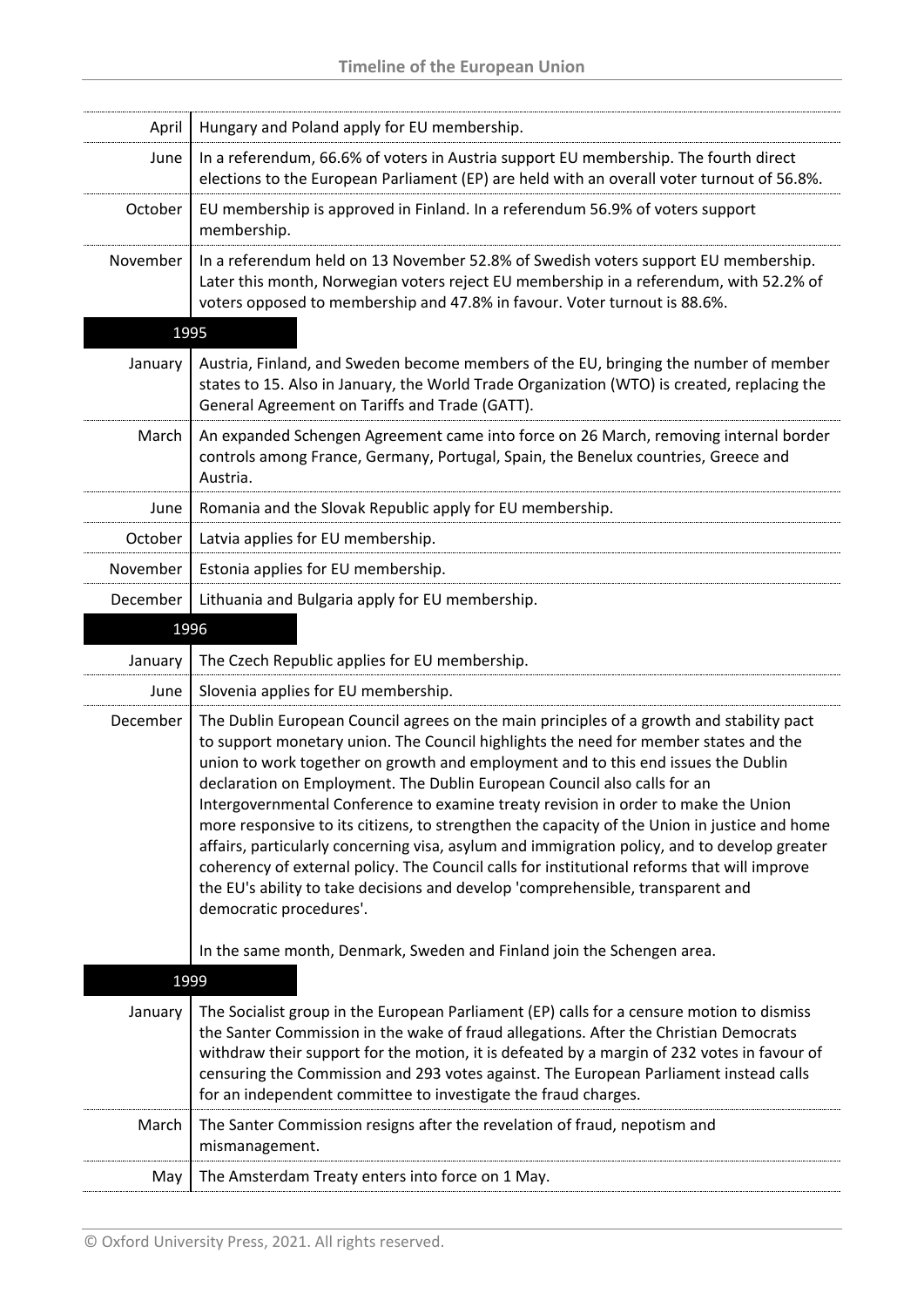| April    | Hungary and Poland apply for EU membership.                                                                                                                                                                                                                                                                                                                                                                                                                                                                                                                                                                                                                                                                                                                                                                                                          |
|----------|------------------------------------------------------------------------------------------------------------------------------------------------------------------------------------------------------------------------------------------------------------------------------------------------------------------------------------------------------------------------------------------------------------------------------------------------------------------------------------------------------------------------------------------------------------------------------------------------------------------------------------------------------------------------------------------------------------------------------------------------------------------------------------------------------------------------------------------------------|
| June     | In a referendum, 66.6% of voters in Austria support EU membership. The fourth direct<br>elections to the European Parliament (EP) are held with an overall voter turnout of 56.8%.                                                                                                                                                                                                                                                                                                                                                                                                                                                                                                                                                                                                                                                                   |
| October  | EU membership is approved in Finland. In a referendum 56.9% of voters support<br>membership.                                                                                                                                                                                                                                                                                                                                                                                                                                                                                                                                                                                                                                                                                                                                                         |
| November | In a referendum held on 13 November 52.8% of Swedish voters support EU membership.<br>Later this month, Norwegian voters reject EU membership in a referendum, with 52.2% of<br>voters opposed to membership and 47.8% in favour. Voter turnout is 88.6%.                                                                                                                                                                                                                                                                                                                                                                                                                                                                                                                                                                                            |
|          | 1995                                                                                                                                                                                                                                                                                                                                                                                                                                                                                                                                                                                                                                                                                                                                                                                                                                                 |
| January  | Austria, Finland, and Sweden become members of the EU, bringing the number of member<br>states to 15. Also in January, the World Trade Organization (WTO) is created, replacing the<br>General Agreement on Tariffs and Trade (GATT).                                                                                                                                                                                                                                                                                                                                                                                                                                                                                                                                                                                                                |
| March    | An expanded Schengen Agreement came into force on 26 March, removing internal border<br>controls among France, Germany, Portugal, Spain, the Benelux countries, Greece and<br>Austria.                                                                                                                                                                                                                                                                                                                                                                                                                                                                                                                                                                                                                                                               |
| June     | Romania and the Slovak Republic apply for EU membership.                                                                                                                                                                                                                                                                                                                                                                                                                                                                                                                                                                                                                                                                                                                                                                                             |
| October  | Latvia applies for EU membership.                                                                                                                                                                                                                                                                                                                                                                                                                                                                                                                                                                                                                                                                                                                                                                                                                    |
| November | Estonia applies for EU membership.                                                                                                                                                                                                                                                                                                                                                                                                                                                                                                                                                                                                                                                                                                                                                                                                                   |
| December | Lithuania and Bulgaria apply for EU membership.                                                                                                                                                                                                                                                                                                                                                                                                                                                                                                                                                                                                                                                                                                                                                                                                      |
|          | 1996                                                                                                                                                                                                                                                                                                                                                                                                                                                                                                                                                                                                                                                                                                                                                                                                                                                 |
| January  | The Czech Republic applies for EU membership.                                                                                                                                                                                                                                                                                                                                                                                                                                                                                                                                                                                                                                                                                                                                                                                                        |
| June     | Slovenia applies for EU membership.                                                                                                                                                                                                                                                                                                                                                                                                                                                                                                                                                                                                                                                                                                                                                                                                                  |
| December | The Dublin European Council agrees on the main principles of a growth and stability pact<br>to support monetary union. The Council highlights the need for member states and the<br>union to work together on growth and employment and to this end issues the Dublin<br>declaration on Employment. The Dublin European Council also calls for an<br>Intergovernmental Conference to examine treaty revision in order to make the Union<br>more responsive to its citizens, to strengthen the capacity of the Union in justice and home<br>affairs, particularly concerning visa, asylum and immigration policy, and to develop greater<br>coherency of external policy. The Council calls for institutional reforms that will improve<br>the EU's ability to take decisions and develop 'comprehensible, transparent and<br>democratic procedures'. |
|          | In the same month, Denmark, Sweden and Finland join the Schengen area.                                                                                                                                                                                                                                                                                                                                                                                                                                                                                                                                                                                                                                                                                                                                                                               |
|          | 1999                                                                                                                                                                                                                                                                                                                                                                                                                                                                                                                                                                                                                                                                                                                                                                                                                                                 |
| January  | The Socialist group in the European Parliament (EP) calls for a censure motion to dismiss<br>the Santer Commission in the wake of fraud allegations. After the Christian Democrats<br>withdraw their support for the motion, it is defeated by a margin of 232 votes in favour of<br>censuring the Commission and 293 votes against. The European Parliament instead calls<br>for an independent committee to investigate the fraud charges.                                                                                                                                                                                                                                                                                                                                                                                                         |
| March    | The Santer Commission resigns after the revelation of fraud, nepotism and<br>mismanagement.                                                                                                                                                                                                                                                                                                                                                                                                                                                                                                                                                                                                                                                                                                                                                          |
| May      | The Amsterdam Treaty enters into force on 1 May.                                                                                                                                                                                                                                                                                                                                                                                                                                                                                                                                                                                                                                                                                                                                                                                                     |
|          |                                                                                                                                                                                                                                                                                                                                                                                                                                                                                                                                                                                                                                                                                                                                                                                                                                                      |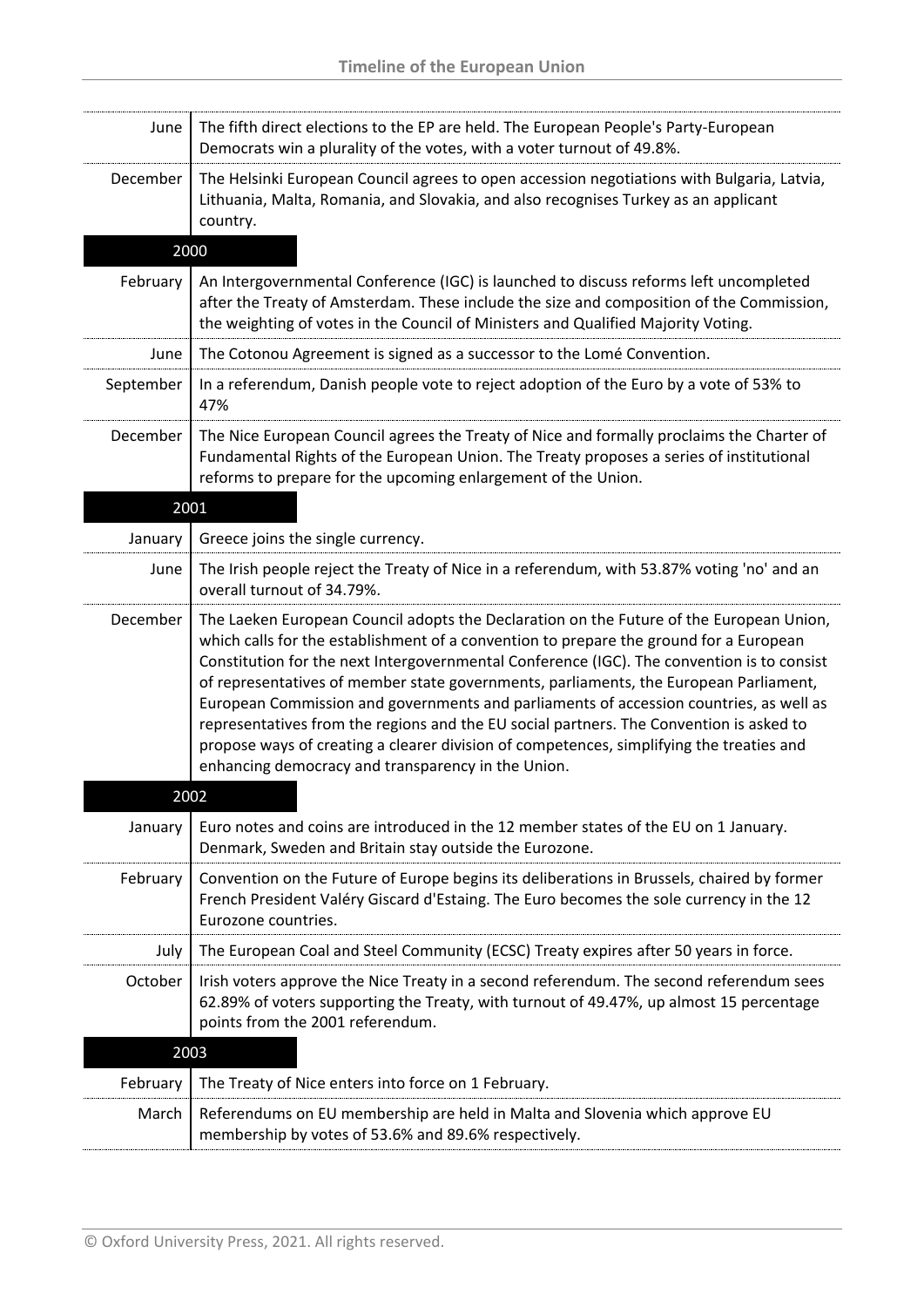| June      | The fifth direct elections to the EP are held. The European People's Party-European<br>Democrats win a plurality of the votes, with a voter turnout of 49.8%.                                                                                                                                                                                                                                                                                                                                                                                                                                                                                                                                                   |
|-----------|-----------------------------------------------------------------------------------------------------------------------------------------------------------------------------------------------------------------------------------------------------------------------------------------------------------------------------------------------------------------------------------------------------------------------------------------------------------------------------------------------------------------------------------------------------------------------------------------------------------------------------------------------------------------------------------------------------------------|
| December  | The Helsinki European Council agrees to open accession negotiations with Bulgaria, Latvia,<br>Lithuania, Malta, Romania, and Slovakia, and also recognises Turkey as an applicant<br>country.                                                                                                                                                                                                                                                                                                                                                                                                                                                                                                                   |
|           | 2000                                                                                                                                                                                                                                                                                                                                                                                                                                                                                                                                                                                                                                                                                                            |
| February  | An Intergovernmental Conference (IGC) is launched to discuss reforms left uncompleted<br>after the Treaty of Amsterdam. These include the size and composition of the Commission,<br>the weighting of votes in the Council of Ministers and Qualified Majority Voting.                                                                                                                                                                                                                                                                                                                                                                                                                                          |
| June      | The Cotonou Agreement is signed as a successor to the Lomé Convention.                                                                                                                                                                                                                                                                                                                                                                                                                                                                                                                                                                                                                                          |
| September | In a referendum, Danish people vote to reject adoption of the Euro by a vote of 53% to<br>47%                                                                                                                                                                                                                                                                                                                                                                                                                                                                                                                                                                                                                   |
| December  | The Nice European Council agrees the Treaty of Nice and formally proclaims the Charter of<br>Fundamental Rights of the European Union. The Treaty proposes a series of institutional<br>reforms to prepare for the upcoming enlargement of the Union.                                                                                                                                                                                                                                                                                                                                                                                                                                                           |
|           | 2001                                                                                                                                                                                                                                                                                                                                                                                                                                                                                                                                                                                                                                                                                                            |
| January   | Greece joins the single currency.                                                                                                                                                                                                                                                                                                                                                                                                                                                                                                                                                                                                                                                                               |
| June      | The Irish people reject the Treaty of Nice in a referendum, with 53.87% voting 'no' and an<br>overall turnout of 34.79%.                                                                                                                                                                                                                                                                                                                                                                                                                                                                                                                                                                                        |
| December  | The Laeken European Council adopts the Declaration on the Future of the European Union,<br>which calls for the establishment of a convention to prepare the ground for a European<br>Constitution for the next Intergovernmental Conference (IGC). The convention is to consist<br>of representatives of member state governments, parliaments, the European Parliament,<br>European Commission and governments and parliaments of accession countries, as well as<br>representatives from the regions and the EU social partners. The Convention is asked to<br>propose ways of creating a clearer division of competences, simplifying the treaties and<br>enhancing democracy and transparency in the Union. |
|           | 2002                                                                                                                                                                                                                                                                                                                                                                                                                                                                                                                                                                                                                                                                                                            |
| January   | Euro notes and coins are introduced in the 12 member states of the EU on 1 January.<br>Denmark, Sweden and Britain stay outside the Eurozone.                                                                                                                                                                                                                                                                                                                                                                                                                                                                                                                                                                   |
| February  | Convention on the Future of Europe begins its deliberations in Brussels, chaired by former<br>French President Valéry Giscard d'Estaing. The Euro becomes the sole currency in the 12<br>Eurozone countries.                                                                                                                                                                                                                                                                                                                                                                                                                                                                                                    |
| July      | The European Coal and Steel Community (ECSC) Treaty expires after 50 years in force.                                                                                                                                                                                                                                                                                                                                                                                                                                                                                                                                                                                                                            |
| October   | Irish voters approve the Nice Treaty in a second referendum. The second referendum sees<br>62.89% of voters supporting the Treaty, with turnout of 49.47%, up almost 15 percentage<br>points from the 2001 referendum.                                                                                                                                                                                                                                                                                                                                                                                                                                                                                          |
|           | 2003                                                                                                                                                                                                                                                                                                                                                                                                                                                                                                                                                                                                                                                                                                            |
| February  | The Treaty of Nice enters into force on 1 February.                                                                                                                                                                                                                                                                                                                                                                                                                                                                                                                                                                                                                                                             |
| March     | Referendums on EU membership are held in Malta and Slovenia which approve EU<br>membership by votes of 53.6% and 89.6% respectively.                                                                                                                                                                                                                                                                                                                                                                                                                                                                                                                                                                            |
|           |                                                                                                                                                                                                                                                                                                                                                                                                                                                                                                                                                                                                                                                                                                                 |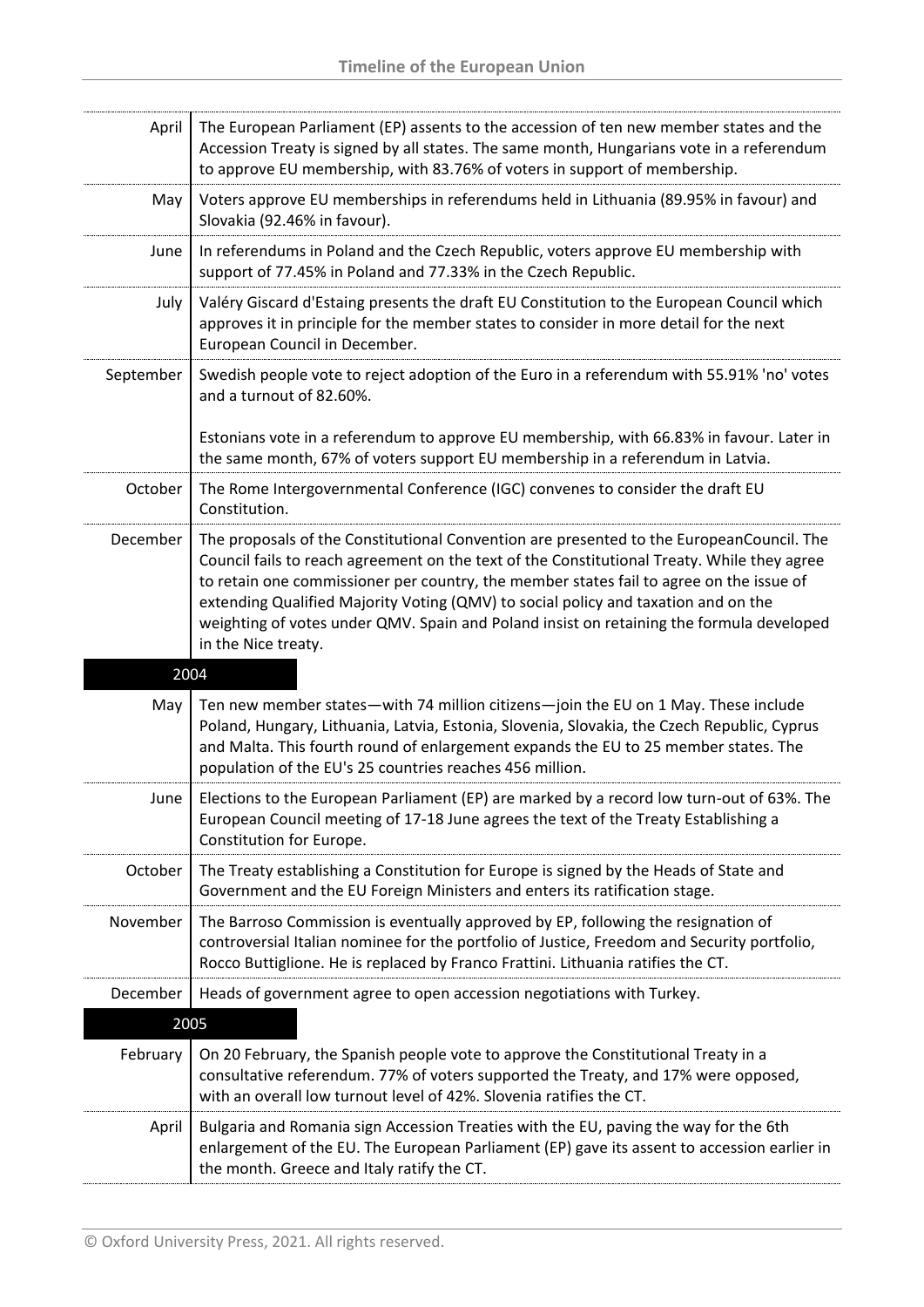| April     | The European Parliament (EP) assents to the accession of ten new member states and the<br>Accession Treaty is signed by all states. The same month, Hungarians vote in a referendum<br>to approve EU membership, with 83.76% of voters in support of membership.                                                                                                                                                                                                                            |
|-----------|---------------------------------------------------------------------------------------------------------------------------------------------------------------------------------------------------------------------------------------------------------------------------------------------------------------------------------------------------------------------------------------------------------------------------------------------------------------------------------------------|
| May       | Voters approve EU memberships in referendums held in Lithuania (89.95% in favour) and<br>Slovakia (92.46% in favour).                                                                                                                                                                                                                                                                                                                                                                       |
| June      | In referendums in Poland and the Czech Republic, voters approve EU membership with<br>support of 77.45% in Poland and 77.33% in the Czech Republic.                                                                                                                                                                                                                                                                                                                                         |
| July      | Valéry Giscard d'Estaing presents the draft EU Constitution to the European Council which<br>approves it in principle for the member states to consider in more detail for the next<br>European Council in December.                                                                                                                                                                                                                                                                        |
| September | Swedish people vote to reject adoption of the Euro in a referendum with 55.91% 'no' votes<br>and a turnout of 82.60%.                                                                                                                                                                                                                                                                                                                                                                       |
|           | Estonians vote in a referendum to approve EU membership, with 66.83% in favour. Later in<br>the same month, 67% of voters support EU membership in a referendum in Latvia.                                                                                                                                                                                                                                                                                                                  |
| October   | The Rome Intergovernmental Conference (IGC) convenes to consider the draft EU<br>Constitution.                                                                                                                                                                                                                                                                                                                                                                                              |
| December  | The proposals of the Constitutional Convention are presented to the EuropeanCouncil. The<br>Council fails to reach agreement on the text of the Constitutional Treaty. While they agree<br>to retain one commissioner per country, the member states fail to agree on the issue of<br>extending Qualified Majority Voting (QMV) to social policy and taxation and on the<br>weighting of votes under QMV. Spain and Poland insist on retaining the formula developed<br>in the Nice treaty. |
|           | 2004                                                                                                                                                                                                                                                                                                                                                                                                                                                                                        |
| May       | Ten new member states—with 74 million citizens—join the EU on 1 May. These include<br>Poland, Hungary, Lithuania, Latvia, Estonia, Slovenia, Slovakia, the Czech Republic, Cyprus<br>and Malta. This fourth round of enlargement expands the EU to 25 member states. The<br>population of the EU's 25 countries reaches 456 million.                                                                                                                                                        |
| June      | Elections to the European Parliament (EP) are marked by a record low turn-out of 63%. The<br>European Council meeting of 17-18 June agrees the text of the Treaty Establishing a<br>Constitution for Europe.                                                                                                                                                                                                                                                                                |
| October   | The Treaty establishing a Constitution for Europe is signed by the Heads of State and<br>Government and the EU Foreign Ministers and enters its ratification stage.                                                                                                                                                                                                                                                                                                                         |
| November  | The Barroso Commission is eventually approved by EP, following the resignation of<br>controversial Italian nominee for the portfolio of Justice, Freedom and Security portfolio,<br>Rocco Buttiglione. He is replaced by Franco Frattini. Lithuania ratifies the CT.                                                                                                                                                                                                                        |
| December  | Heads of government agree to open accession negotiations with Turkey.                                                                                                                                                                                                                                                                                                                                                                                                                       |
|           | 2005                                                                                                                                                                                                                                                                                                                                                                                                                                                                                        |
| February  | On 20 February, the Spanish people vote to approve the Constitutional Treaty in a<br>consultative referendum. 77% of voters supported the Treaty, and 17% were opposed,<br>with an overall low turnout level of 42%. Slovenia ratifies the CT.                                                                                                                                                                                                                                              |
| April     | Bulgaria and Romania sign Accession Treaties with the EU, paving the way for the 6th<br>enlargement of the EU. The European Parliament (EP) gave its assent to accession earlier in<br>the month. Greece and Italy ratify the CT.                                                                                                                                                                                                                                                           |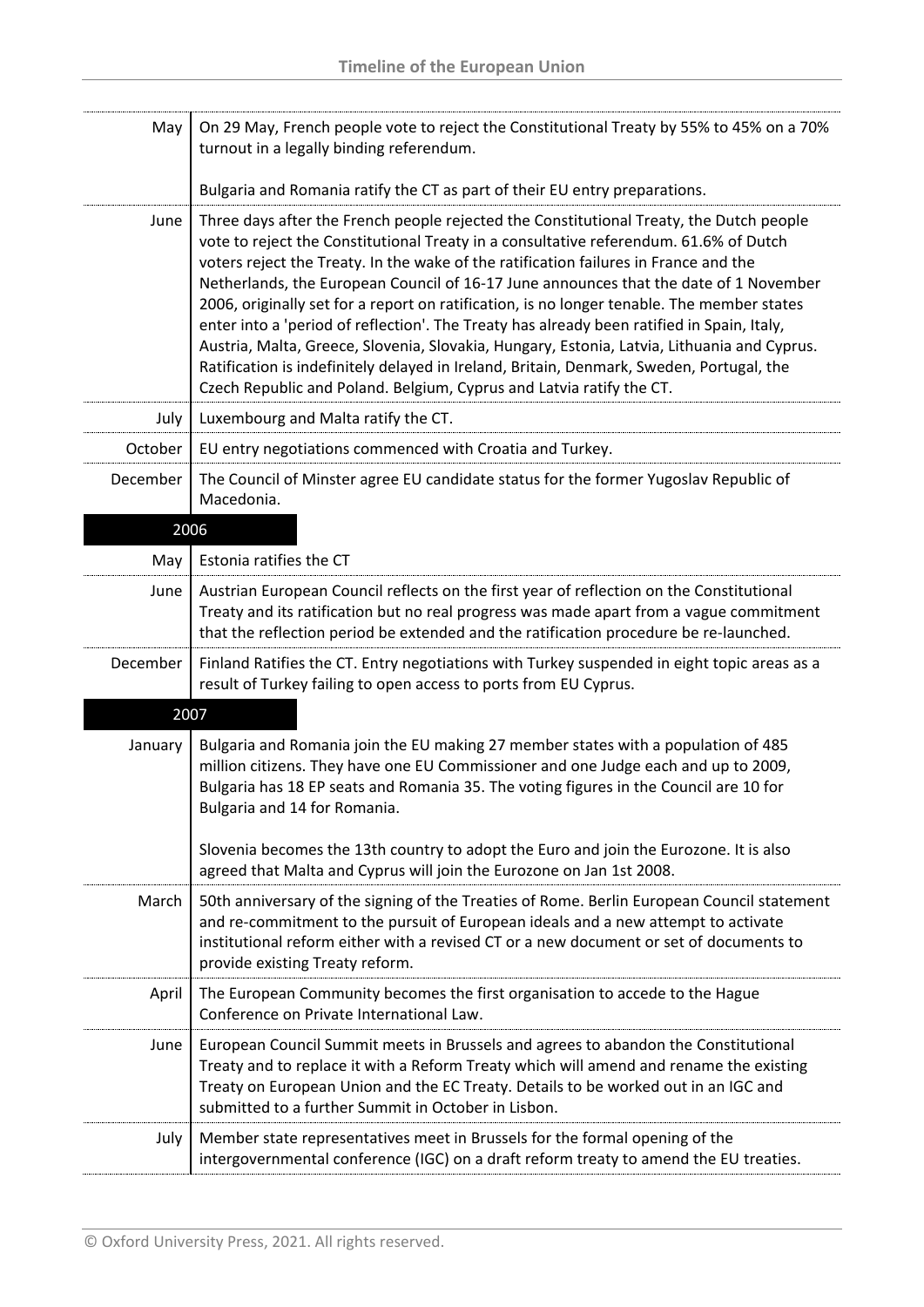| May      | On 29 May, French people vote to reject the Constitutional Treaty by 55% to 45% on a 70%<br>turnout in a legally binding referendum.                                                                                                                                                                                                                                                                                                                                                                                                                                                                                                                                                                                                                                                                                             |
|----------|----------------------------------------------------------------------------------------------------------------------------------------------------------------------------------------------------------------------------------------------------------------------------------------------------------------------------------------------------------------------------------------------------------------------------------------------------------------------------------------------------------------------------------------------------------------------------------------------------------------------------------------------------------------------------------------------------------------------------------------------------------------------------------------------------------------------------------|
|          | Bulgaria and Romania ratify the CT as part of their EU entry preparations.                                                                                                                                                                                                                                                                                                                                                                                                                                                                                                                                                                                                                                                                                                                                                       |
| June     | Three days after the French people rejected the Constitutional Treaty, the Dutch people<br>vote to reject the Constitutional Treaty in a consultative referendum. 61.6% of Dutch<br>voters reject the Treaty. In the wake of the ratification failures in France and the<br>Netherlands, the European Council of 16-17 June announces that the date of 1 November<br>2006, originally set for a report on ratification, is no longer tenable. The member states<br>enter into a 'period of reflection'. The Treaty has already been ratified in Spain, Italy,<br>Austria, Malta, Greece, Slovenia, Slovakia, Hungary, Estonia, Latvia, Lithuania and Cyprus.<br>Ratification is indefinitely delayed in Ireland, Britain, Denmark, Sweden, Portugal, the<br>Czech Republic and Poland. Belgium, Cyprus and Latvia ratify the CT. |
| July     | Luxembourg and Malta ratify the CT.                                                                                                                                                                                                                                                                                                                                                                                                                                                                                                                                                                                                                                                                                                                                                                                              |
| October  | EU entry negotiations commenced with Croatia and Turkey.                                                                                                                                                                                                                                                                                                                                                                                                                                                                                                                                                                                                                                                                                                                                                                         |
| December | The Council of Minster agree EU candidate status for the former Yugoslav Republic of<br>Macedonia.                                                                                                                                                                                                                                                                                                                                                                                                                                                                                                                                                                                                                                                                                                                               |
| 2006     |                                                                                                                                                                                                                                                                                                                                                                                                                                                                                                                                                                                                                                                                                                                                                                                                                                  |
| May      | Estonia ratifies the CT                                                                                                                                                                                                                                                                                                                                                                                                                                                                                                                                                                                                                                                                                                                                                                                                          |
| June     | Austrian European Council reflects on the first year of reflection on the Constitutional<br>Treaty and its ratification but no real progress was made apart from a vague commitment<br>that the reflection period be extended and the ratification procedure be re-launched.                                                                                                                                                                                                                                                                                                                                                                                                                                                                                                                                                     |
| December | Finland Ratifies the CT. Entry negotiations with Turkey suspended in eight topic areas as a<br>result of Turkey failing to open access to ports from EU Cyprus.                                                                                                                                                                                                                                                                                                                                                                                                                                                                                                                                                                                                                                                                  |
| 2007     |                                                                                                                                                                                                                                                                                                                                                                                                                                                                                                                                                                                                                                                                                                                                                                                                                                  |
| January  | Bulgaria and Romania join the EU making 27 member states with a population of 485<br>million citizens. They have one EU Commissioner and one Judge each and up to 2009,<br>Bulgaria has 18 EP seats and Romania 35. The voting figures in the Council are 10 for<br>Bulgaria and 14 for Romania.<br>Slovenia becomes the 13th country to adopt the Euro and join the Eurozone. It is also                                                                                                                                                                                                                                                                                                                                                                                                                                        |
|          | agreed that Malta and Cyprus will join the Eurozone on Jan 1st 2008.                                                                                                                                                                                                                                                                                                                                                                                                                                                                                                                                                                                                                                                                                                                                                             |
| March    | 50th anniversary of the signing of the Treaties of Rome. Berlin European Council statement<br>and re-commitment to the pursuit of European ideals and a new attempt to activate<br>institutional reform either with a revised CT or a new document or set of documents to<br>provide existing Treaty reform.                                                                                                                                                                                                                                                                                                                                                                                                                                                                                                                     |
| April    | The European Community becomes the first organisation to accede to the Hague<br>Conference on Private International Law.                                                                                                                                                                                                                                                                                                                                                                                                                                                                                                                                                                                                                                                                                                         |
| June     | European Council Summit meets in Brussels and agrees to abandon the Constitutional<br>Treaty and to replace it with a Reform Treaty which will amend and rename the existing<br>Treaty on European Union and the EC Treaty. Details to be worked out in an IGC and<br>submitted to a further Summit in October in Lisbon.                                                                                                                                                                                                                                                                                                                                                                                                                                                                                                        |
| July     | Member state representatives meet in Brussels for the formal opening of the<br>intergovernmental conference (IGC) on a draft reform treaty to amend the EU treaties.                                                                                                                                                                                                                                                                                                                                                                                                                                                                                                                                                                                                                                                             |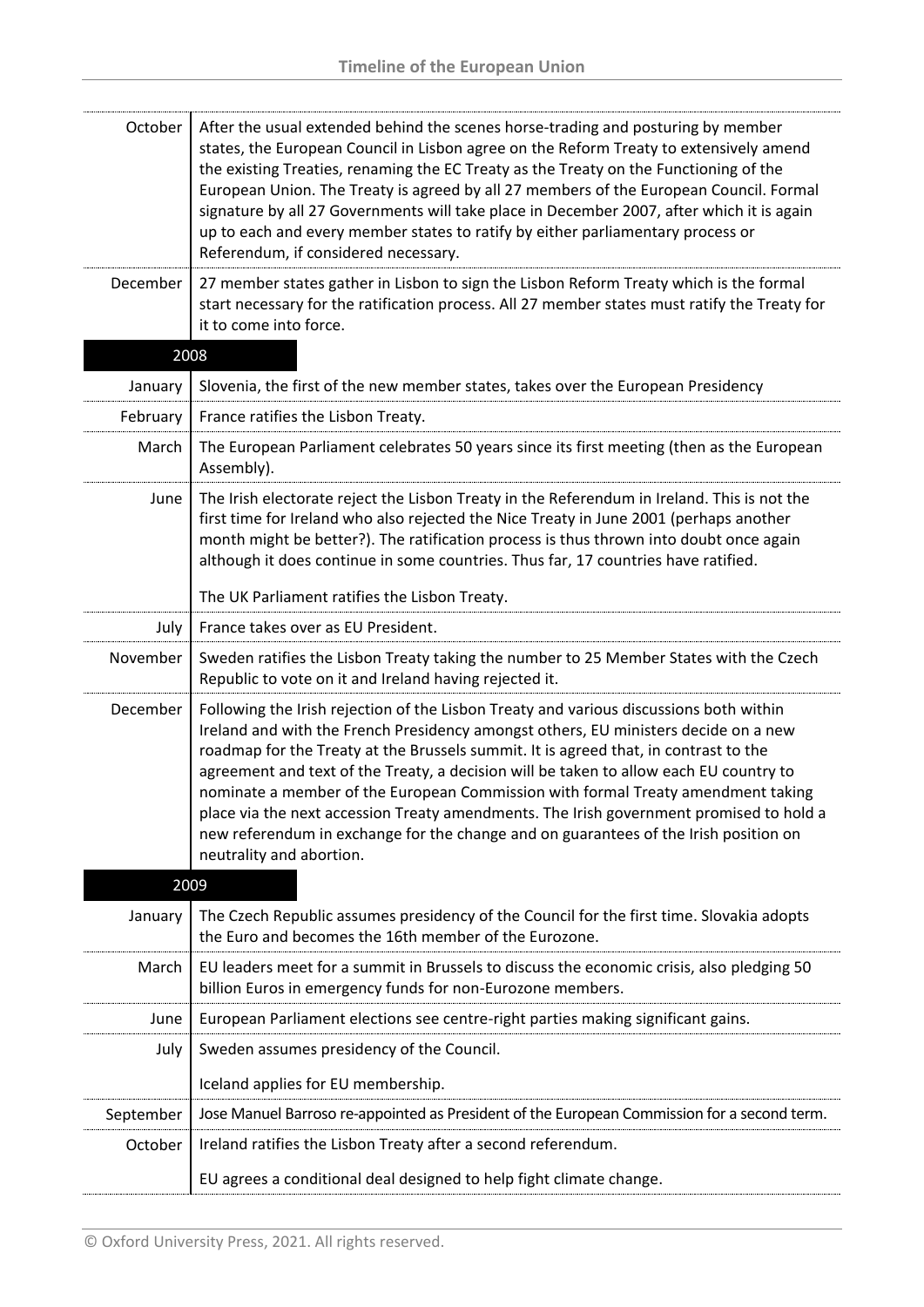| October   | After the usual extended behind the scenes horse-trading and posturing by member<br>states, the European Council in Lisbon agree on the Reform Treaty to extensively amend<br>the existing Treaties, renaming the EC Treaty as the Treaty on the Functioning of the<br>European Union. The Treaty is agreed by all 27 members of the European Council. Formal<br>signature by all 27 Governments will take place in December 2007, after which it is again<br>up to each and every member states to ratify by either parliamentary process or<br>Referendum, if considered necessary.                                                                              |
|-----------|--------------------------------------------------------------------------------------------------------------------------------------------------------------------------------------------------------------------------------------------------------------------------------------------------------------------------------------------------------------------------------------------------------------------------------------------------------------------------------------------------------------------------------------------------------------------------------------------------------------------------------------------------------------------|
| December  | 27 member states gather in Lisbon to sign the Lisbon Reform Treaty which is the formal<br>start necessary for the ratification process. All 27 member states must ratify the Treaty for<br>it to come into force.                                                                                                                                                                                                                                                                                                                                                                                                                                                  |
|           | 2008                                                                                                                                                                                                                                                                                                                                                                                                                                                                                                                                                                                                                                                               |
| January   | Slovenia, the first of the new member states, takes over the European Presidency                                                                                                                                                                                                                                                                                                                                                                                                                                                                                                                                                                                   |
| February  | France ratifies the Lisbon Treaty.                                                                                                                                                                                                                                                                                                                                                                                                                                                                                                                                                                                                                                 |
| March     | The European Parliament celebrates 50 years since its first meeting (then as the European<br>Assembly).                                                                                                                                                                                                                                                                                                                                                                                                                                                                                                                                                            |
| June      | The Irish electorate reject the Lisbon Treaty in the Referendum in Ireland. This is not the<br>first time for Ireland who also rejected the Nice Treaty in June 2001 (perhaps another<br>month might be better?). The ratification process is thus thrown into doubt once again<br>although it does continue in some countries. Thus far, 17 countries have ratified.                                                                                                                                                                                                                                                                                              |
|           | The UK Parliament ratifies the Lisbon Treaty.                                                                                                                                                                                                                                                                                                                                                                                                                                                                                                                                                                                                                      |
| July      | France takes over as EU President.                                                                                                                                                                                                                                                                                                                                                                                                                                                                                                                                                                                                                                 |
| November  | Sweden ratifies the Lisbon Treaty taking the number to 25 Member States with the Czech<br>Republic to vote on it and Ireland having rejected it.                                                                                                                                                                                                                                                                                                                                                                                                                                                                                                                   |
| December  | Following the Irish rejection of the Lisbon Treaty and various discussions both within<br>Ireland and with the French Presidency amongst others, EU ministers decide on a new<br>roadmap for the Treaty at the Brussels summit. It is agreed that, in contrast to the<br>agreement and text of the Treaty, a decision will be taken to allow each EU country to<br>nominate a member of the European Commission with formal Treaty amendment taking<br>place via the next accession Treaty amendments. The Irish government promised to hold a<br>new referendum in exchange for the change and on guarantees of the Irish position on<br>neutrality and abortion. |
|           | 2009                                                                                                                                                                                                                                                                                                                                                                                                                                                                                                                                                                                                                                                               |
| January   | The Czech Republic assumes presidency of the Council for the first time. Slovakia adopts<br>the Euro and becomes the 16th member of the Eurozone.                                                                                                                                                                                                                                                                                                                                                                                                                                                                                                                  |
| March     | EU leaders meet for a summit in Brussels to discuss the economic crisis, also pledging 50<br>billion Euros in emergency funds for non-Eurozone members.                                                                                                                                                                                                                                                                                                                                                                                                                                                                                                            |
| June      | European Parliament elections see centre-right parties making significant gains.                                                                                                                                                                                                                                                                                                                                                                                                                                                                                                                                                                                   |
| July      | Sweden assumes presidency of the Council.                                                                                                                                                                                                                                                                                                                                                                                                                                                                                                                                                                                                                          |
|           | Iceland applies for EU membership.                                                                                                                                                                                                                                                                                                                                                                                                                                                                                                                                                                                                                                 |
| September | Jose Manuel Barroso re-appointed as President of the European Commission for a second term.                                                                                                                                                                                                                                                                                                                                                                                                                                                                                                                                                                        |
| October   | Ireland ratifies the Lisbon Treaty after a second referendum.                                                                                                                                                                                                                                                                                                                                                                                                                                                                                                                                                                                                      |
|           | EU agrees a conditional deal designed to help fight climate change.                                                                                                                                                                                                                                                                                                                                                                                                                                                                                                                                                                                                |
|           |                                                                                                                                                                                                                                                                                                                                                                                                                                                                                                                                                                                                                                                                    |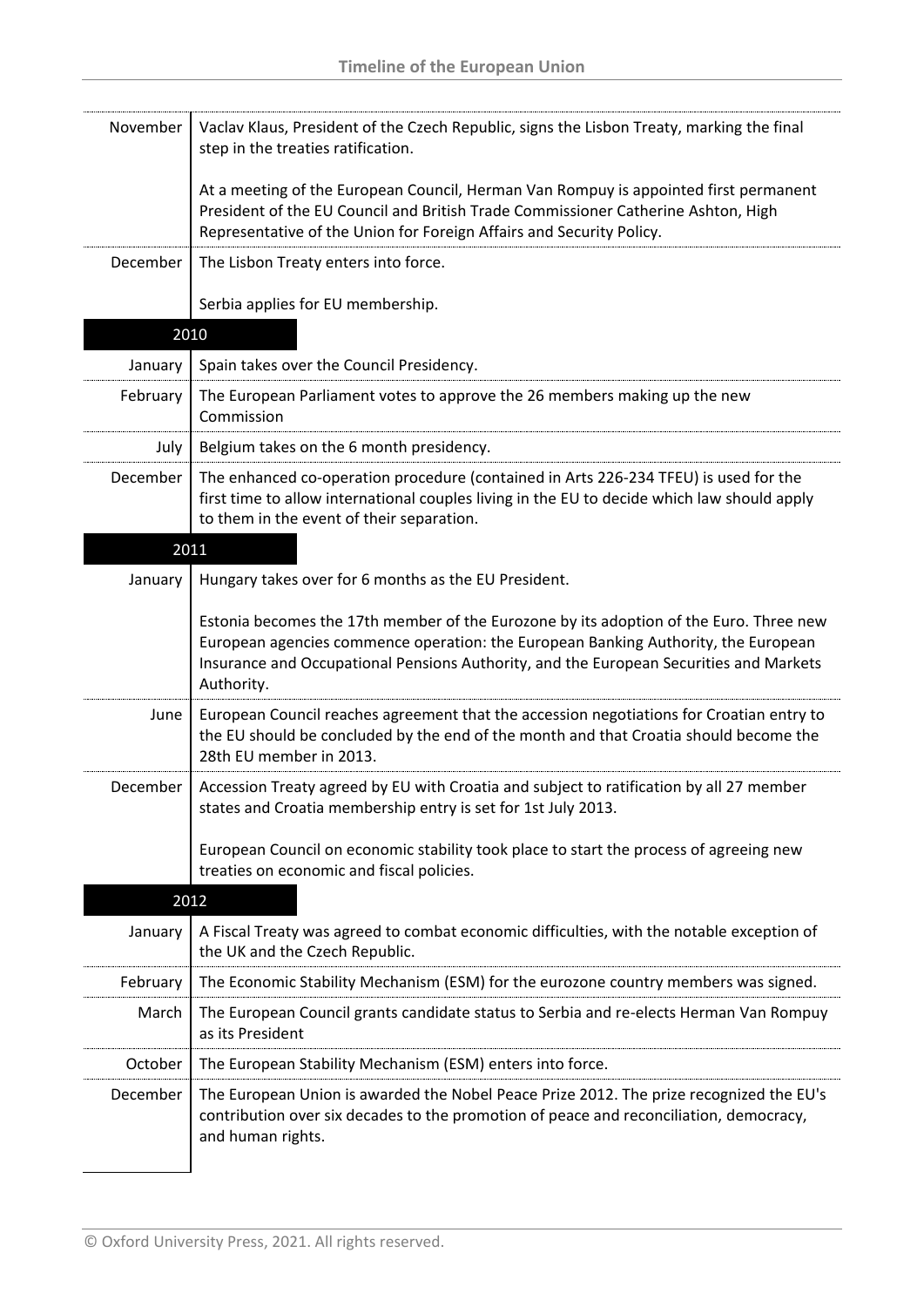| November | Vaclav Klaus, President of the Czech Republic, signs the Lisbon Treaty, marking the final<br>step in the treaties ratification.                                                                                                                                                      |
|----------|--------------------------------------------------------------------------------------------------------------------------------------------------------------------------------------------------------------------------------------------------------------------------------------|
|          | At a meeting of the European Council, Herman Van Rompuy is appointed first permanent<br>President of the EU Council and British Trade Commissioner Catherine Ashton, High<br>Representative of the Union for Foreign Affairs and Security Policy.                                    |
| December | The Lisbon Treaty enters into force.                                                                                                                                                                                                                                                 |
|          | Serbia applies for EU membership.                                                                                                                                                                                                                                                    |
|          | 2010                                                                                                                                                                                                                                                                                 |
| January  | Spain takes over the Council Presidency.                                                                                                                                                                                                                                             |
| February | The European Parliament votes to approve the 26 members making up the new<br>Commission                                                                                                                                                                                              |
| July     | Belgium takes on the 6 month presidency.                                                                                                                                                                                                                                             |
| December | The enhanced co-operation procedure (contained in Arts 226-234 TFEU) is used for the<br>first time to allow international couples living in the EU to decide which law should apply<br>to them in the event of their separation.                                                     |
|          | 2011                                                                                                                                                                                                                                                                                 |
| January  | Hungary takes over for 6 months as the EU President.                                                                                                                                                                                                                                 |
|          | Estonia becomes the 17th member of the Eurozone by its adoption of the Euro. Three new<br>European agencies commence operation: the European Banking Authority, the European<br>Insurance and Occupational Pensions Authority, and the European Securities and Markets<br>Authority. |
| June     | European Council reaches agreement that the accession negotiations for Croatian entry to<br>the EU should be concluded by the end of the month and that Croatia should become the<br>28th EU member in 2013.                                                                         |
| December | Accession Treaty agreed by EU with Croatia and subject to ratification by all 27 member<br>states and Croatia membership entry is set for 1st July 2013.                                                                                                                             |
|          | European Council on economic stability took place to start the process of agreeing new<br>treaties on economic and fiscal policies.                                                                                                                                                  |
|          | 2012                                                                                                                                                                                                                                                                                 |
| January  | A Fiscal Treaty was agreed to combat economic difficulties, with the notable exception of<br>the UK and the Czech Republic.                                                                                                                                                          |
| February | The Economic Stability Mechanism (ESM) for the eurozone country members was signed.                                                                                                                                                                                                  |
| March    | The European Council grants candidate status to Serbia and re-elects Herman Van Rompuy<br>as its President                                                                                                                                                                           |
| October  | The European Stability Mechanism (ESM) enters into force.                                                                                                                                                                                                                            |
| December | The European Union is awarded the Nobel Peace Prize 2012. The prize recognized the EU's<br>contribution over six decades to the promotion of peace and reconciliation, democracy,<br>and human rights.                                                                               |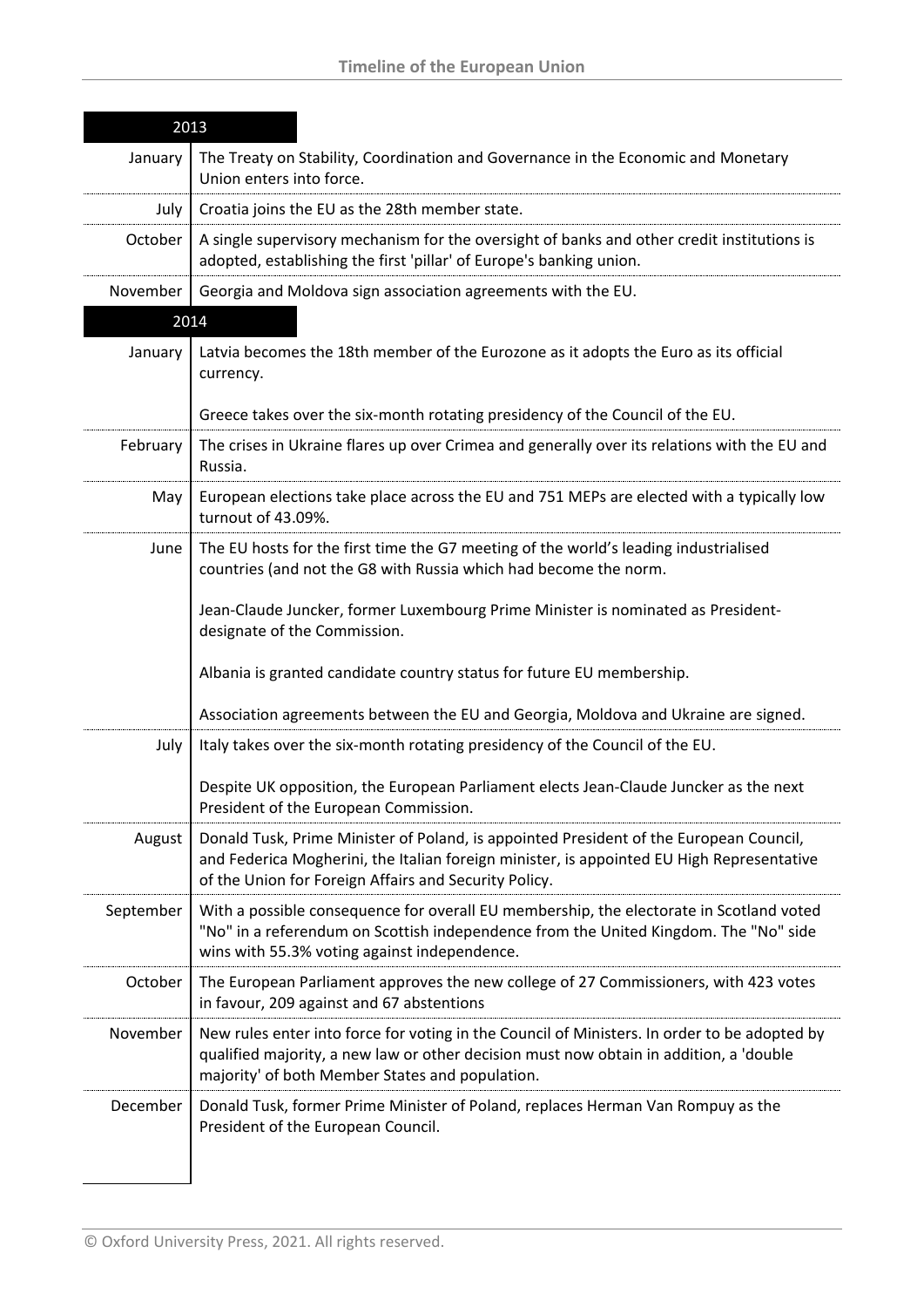| 2013      |                                                                                                                                                                                                                                              |
|-----------|----------------------------------------------------------------------------------------------------------------------------------------------------------------------------------------------------------------------------------------------|
| January   | The Treaty on Stability, Coordination and Governance in the Economic and Monetary<br>Union enters into force.                                                                                                                                |
| July      | Croatia joins the EU as the 28th member state.                                                                                                                                                                                               |
| October   | A single supervisory mechanism for the oversight of banks and other credit institutions is<br>adopted, establishing the first 'pillar' of Europe's banking union.                                                                            |
| November  | Georgia and Moldova sign association agreements with the EU.                                                                                                                                                                                 |
|           | 2014                                                                                                                                                                                                                                         |
| January   | Latvia becomes the 18th member of the Eurozone as it adopts the Euro as its official<br>currency.                                                                                                                                            |
|           | Greece takes over the six-month rotating presidency of the Council of the EU.                                                                                                                                                                |
| February  | The crises in Ukraine flares up over Crimea and generally over its relations with the EU and<br>Russia.                                                                                                                                      |
| May       | European elections take place across the EU and 751 MEPs are elected with a typically low<br>turnout of 43.09%.                                                                                                                              |
| June      | The EU hosts for the first time the G7 meeting of the world's leading industrialised<br>countries (and not the G8 with Russia which had become the norm.                                                                                     |
|           | Jean-Claude Juncker, former Luxembourg Prime Minister is nominated as President-<br>designate of the Commission.                                                                                                                             |
|           | Albania is granted candidate country status for future EU membership.                                                                                                                                                                        |
|           | Association agreements between the EU and Georgia, Moldova and Ukraine are signed.                                                                                                                                                           |
| July      | Italy takes over the six-month rotating presidency of the Council of the EU.                                                                                                                                                                 |
|           | Despite UK opposition, the European Parliament elects Jean-Claude Juncker as the next<br>President of the European Commission.                                                                                                               |
| August    | Donald Tusk, Prime Minister of Poland, is appointed President of the European Council,<br>and Federica Mogherini, the Italian foreign minister, is appointed EU High Representative<br>of the Union for Foreign Affairs and Security Policy. |
| September | With a possible consequence for overall EU membership, the electorate in Scotland voted<br>"No" in a referendum on Scottish independence from the United Kingdom. The "No" side<br>wins with 55.3% voting against independence.              |
| October   | The European Parliament approves the new college of 27 Commissioners, with 423 votes<br>in favour, 209 against and 67 abstentions                                                                                                            |
| November  | New rules enter into force for voting in the Council of Ministers. In order to be adopted by<br>qualified majority, a new law or other decision must now obtain in addition, a 'double<br>majority' of both Member States and population.    |
| December  | Donald Tusk, former Prime Minister of Poland, replaces Herman Van Rompuy as the<br>President of the European Council.                                                                                                                        |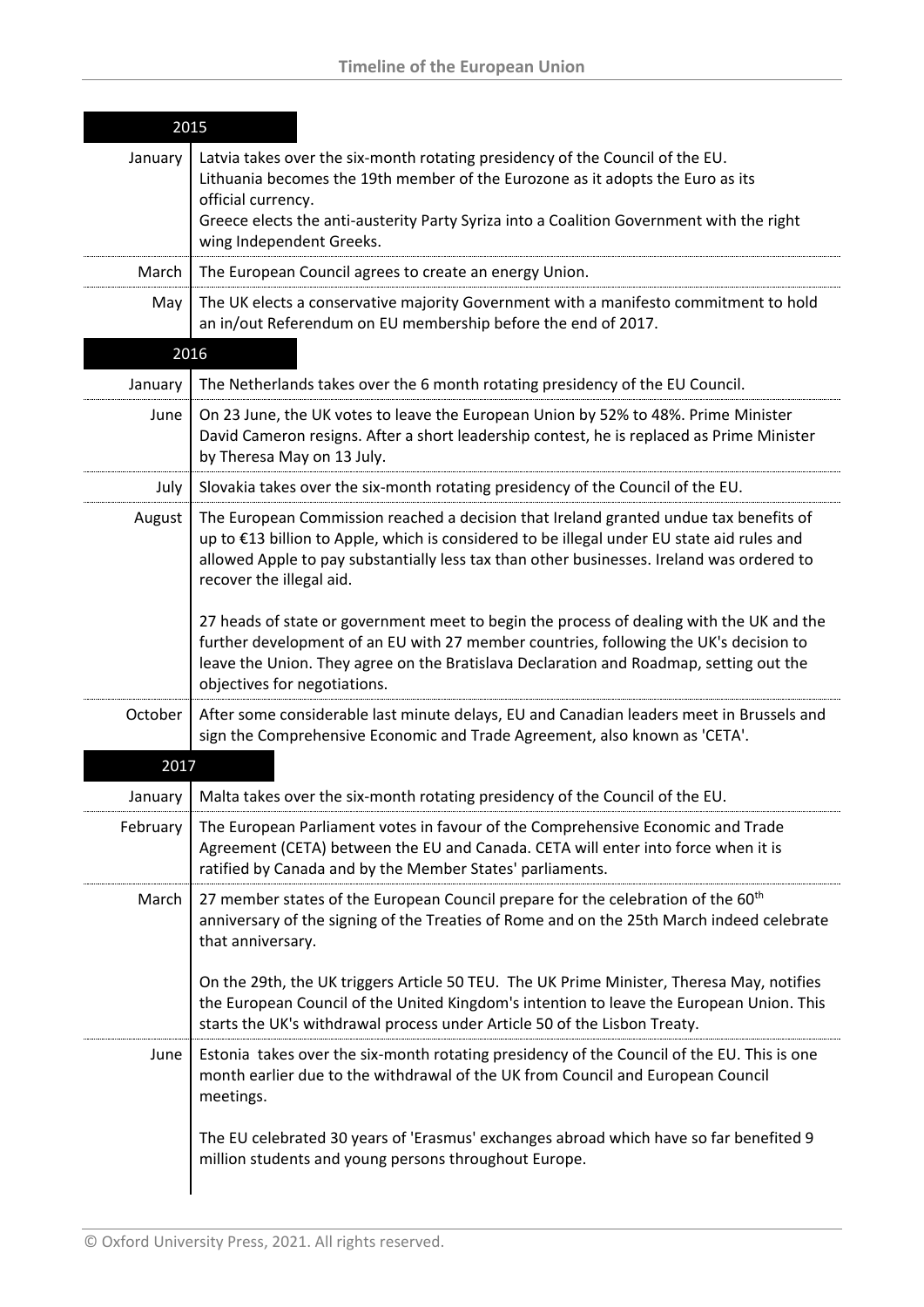| 2015     |                                                                                                                                                                                                                                                                                                               |
|----------|---------------------------------------------------------------------------------------------------------------------------------------------------------------------------------------------------------------------------------------------------------------------------------------------------------------|
| January  | Latvia takes over the six-month rotating presidency of the Council of the EU.<br>Lithuania becomes the 19th member of the Eurozone as it adopts the Euro as its<br>official currency.<br>Greece elects the anti-austerity Party Syriza into a Coalition Government with the right<br>wing Independent Greeks. |
| March    | The European Council agrees to create an energy Union.                                                                                                                                                                                                                                                        |
| May      | The UK elects a conservative majority Government with a manifesto commitment to hold<br>an in/out Referendum on EU membership before the end of 2017.                                                                                                                                                         |
| 2016     |                                                                                                                                                                                                                                                                                                               |
| January  | The Netherlands takes over the 6 month rotating presidency of the EU Council.                                                                                                                                                                                                                                 |
| June     | On 23 June, the UK votes to leave the European Union by 52% to 48%. Prime Minister<br>David Cameron resigns. After a short leadership contest, he is replaced as Prime Minister<br>by Theresa May on 13 July.                                                                                                 |
| July     | Slovakia takes over the six-month rotating presidency of the Council of the EU.                                                                                                                                                                                                                               |
| August   | The European Commission reached a decision that Ireland granted undue tax benefits of<br>up to €13 billion to Apple, which is considered to be illegal under EU state aid rules and<br>allowed Apple to pay substantially less tax than other businesses. Ireland was ordered to<br>recover the illegal aid.  |
|          | 27 heads of state or government meet to begin the process of dealing with the UK and the<br>further development of an EU with 27 member countries, following the UK's decision to<br>leave the Union. They agree on the Bratislava Declaration and Roadmap, setting out the<br>objectives for negotiations.   |
| October  | After some considerable last minute delays, EU and Canadian leaders meet in Brussels and<br>sign the Comprehensive Economic and Trade Agreement, also known as 'CETA'.                                                                                                                                        |
| 2017     |                                                                                                                                                                                                                                                                                                               |
| January  | Malta takes over the six-month rotating presidency of the Council of the EU.                                                                                                                                                                                                                                  |
| February | The European Parliament votes in favour of the Comprehensive Economic and Trade<br>Agreement (CETA) between the EU and Canada. CETA will enter into force when it is<br>ratified by Canada and by the Member States' parliaments.                                                                             |
| March    | 27 member states of the European Council prepare for the celebration of the 60 <sup>th</sup><br>anniversary of the signing of the Treaties of Rome and on the 25th March indeed celebrate<br>that anniversary.                                                                                                |
|          | On the 29th, the UK triggers Article 50 TEU. The UK Prime Minister, Theresa May, notifies<br>the European Council of the United Kingdom's intention to leave the European Union. This<br>starts the UK's withdrawal process under Article 50 of the Lisbon Treaty.                                            |
| June     | Estonia takes over the six-month rotating presidency of the Council of the EU. This is one<br>month earlier due to the withdrawal of the UK from Council and European Council<br>meetings.                                                                                                                    |
|          | The EU celebrated 30 years of 'Erasmus' exchanges abroad which have so far benefited 9<br>million students and young persons throughout Europe.                                                                                                                                                               |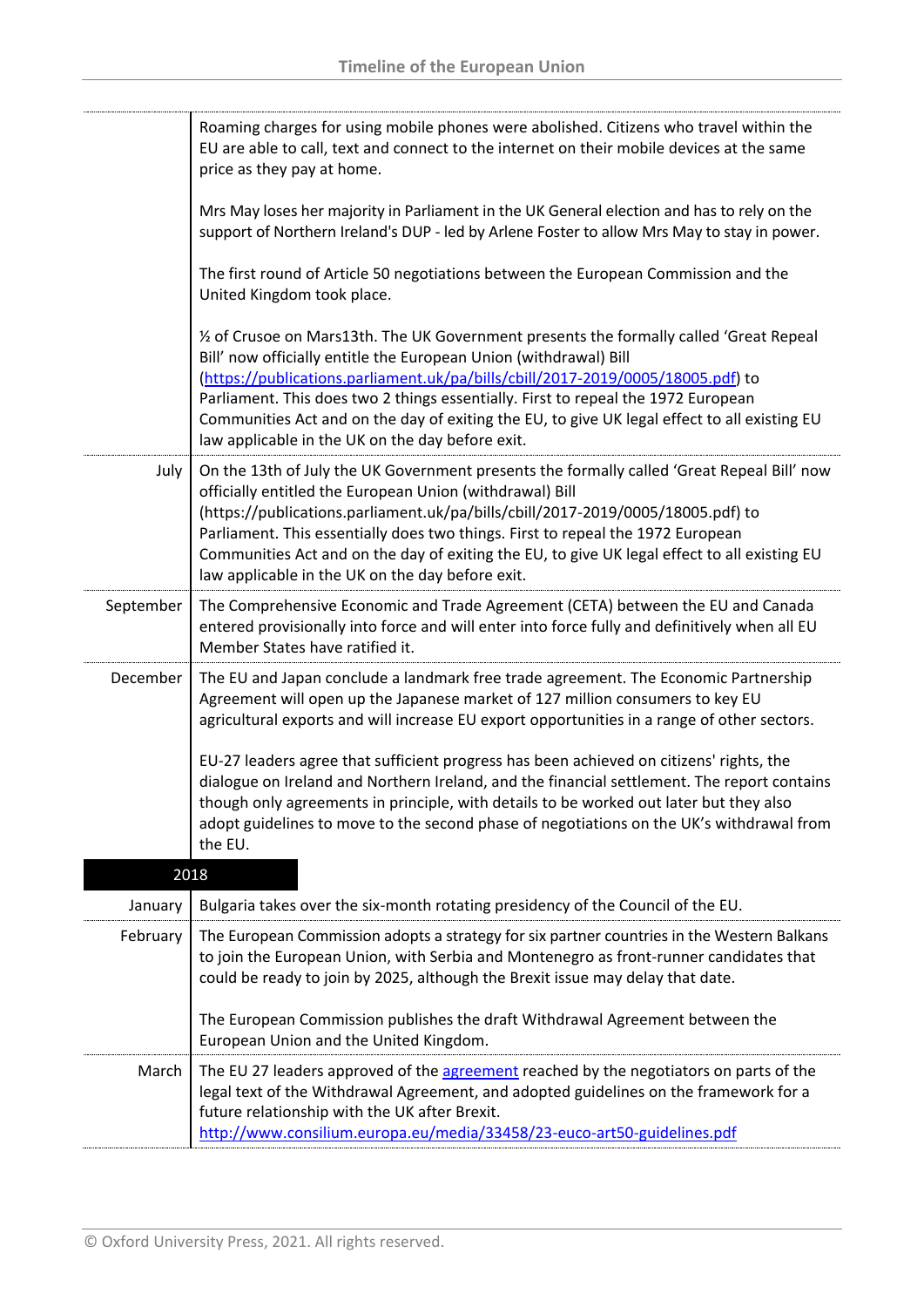|           | Roaming charges for using mobile phones were abolished. Citizens who travel within the<br>EU are able to call, text and connect to the internet on their mobile devices at the same<br>price as they pay at home.                                                                                                                                                                                                                                                                |
|-----------|----------------------------------------------------------------------------------------------------------------------------------------------------------------------------------------------------------------------------------------------------------------------------------------------------------------------------------------------------------------------------------------------------------------------------------------------------------------------------------|
|           | Mrs May loses her majority in Parliament in the UK General election and has to rely on the<br>support of Northern Ireland's DUP - led by Arlene Foster to allow Mrs May to stay in power.                                                                                                                                                                                                                                                                                        |
|           | The first round of Article 50 negotiations between the European Commission and the<br>United Kingdom took place.                                                                                                                                                                                                                                                                                                                                                                 |
|           | 1/2 of Crusoe on Mars13th. The UK Government presents the formally called 'Great Repeal<br>Bill' now officially entitle the European Union (withdrawal) Bill<br>(https://publications.parliament.uk/pa/bills/cbill/2017-2019/0005/18005.pdf) to                                                                                                                                                                                                                                  |
|           | Parliament. This does two 2 things essentially. First to repeal the 1972 European<br>Communities Act and on the day of exiting the EU, to give UK legal effect to all existing EU<br>law applicable in the UK on the day before exit.                                                                                                                                                                                                                                            |
| July      | On the 13th of July the UK Government presents the formally called 'Great Repeal Bill' now<br>officially entitled the European Union (withdrawal) Bill<br>(https://publications.parliament.uk/pa/bills/cbill/2017-2019/0005/18005.pdf) to<br>Parliament. This essentially does two things. First to repeal the 1972 European<br>Communities Act and on the day of exiting the EU, to give UK legal effect to all existing EU<br>law applicable in the UK on the day before exit. |
| September | The Comprehensive Economic and Trade Agreement (CETA) between the EU and Canada<br>entered provisionally into force and will enter into force fully and definitively when all EU<br>Member States have ratified it.                                                                                                                                                                                                                                                              |
| December  | The EU and Japan conclude a landmark free trade agreement. The Economic Partnership<br>Agreement will open up the Japanese market of 127 million consumers to key EU<br>agricultural exports and will increase EU export opportunities in a range of other sectors.                                                                                                                                                                                                              |
|           | EU-27 leaders agree that sufficient progress has been achieved on citizens' rights, the<br>dialogue on Ireland and Northern Ireland, and the financial settlement. The report contains<br>though only agreements in principle, with details to be worked out later but they also<br>adopt guidelines to move to the second phase of negotiations on the UK's withdrawal from<br>the EU.                                                                                          |
|           | 2018                                                                                                                                                                                                                                                                                                                                                                                                                                                                             |
| January   | Bulgaria takes over the six-month rotating presidency of the Council of the EU.                                                                                                                                                                                                                                                                                                                                                                                                  |
| February  | The European Commission adopts a strategy for six partner countries in the Western Balkans<br>to join the European Union, with Serbia and Montenegro as front-runner candidates that<br>could be ready to join by 2025, although the Brexit issue may delay that date.                                                                                                                                                                                                           |
|           | The European Commission publishes the draft Withdrawal Agreement between the<br>European Union and the United Kingdom.                                                                                                                                                                                                                                                                                                                                                           |
| March     | The EU 27 leaders approved of the agreement reached by the negotiators on parts of the<br>legal text of the Withdrawal Agreement, and adopted guidelines on the framework for a<br>future relationship with the UK after Brexit.<br>http://www.consilium.europa.eu/media/33458/23-euco-art50-guidelines.pdf                                                                                                                                                                      |
|           |                                                                                                                                                                                                                                                                                                                                                                                                                                                                                  |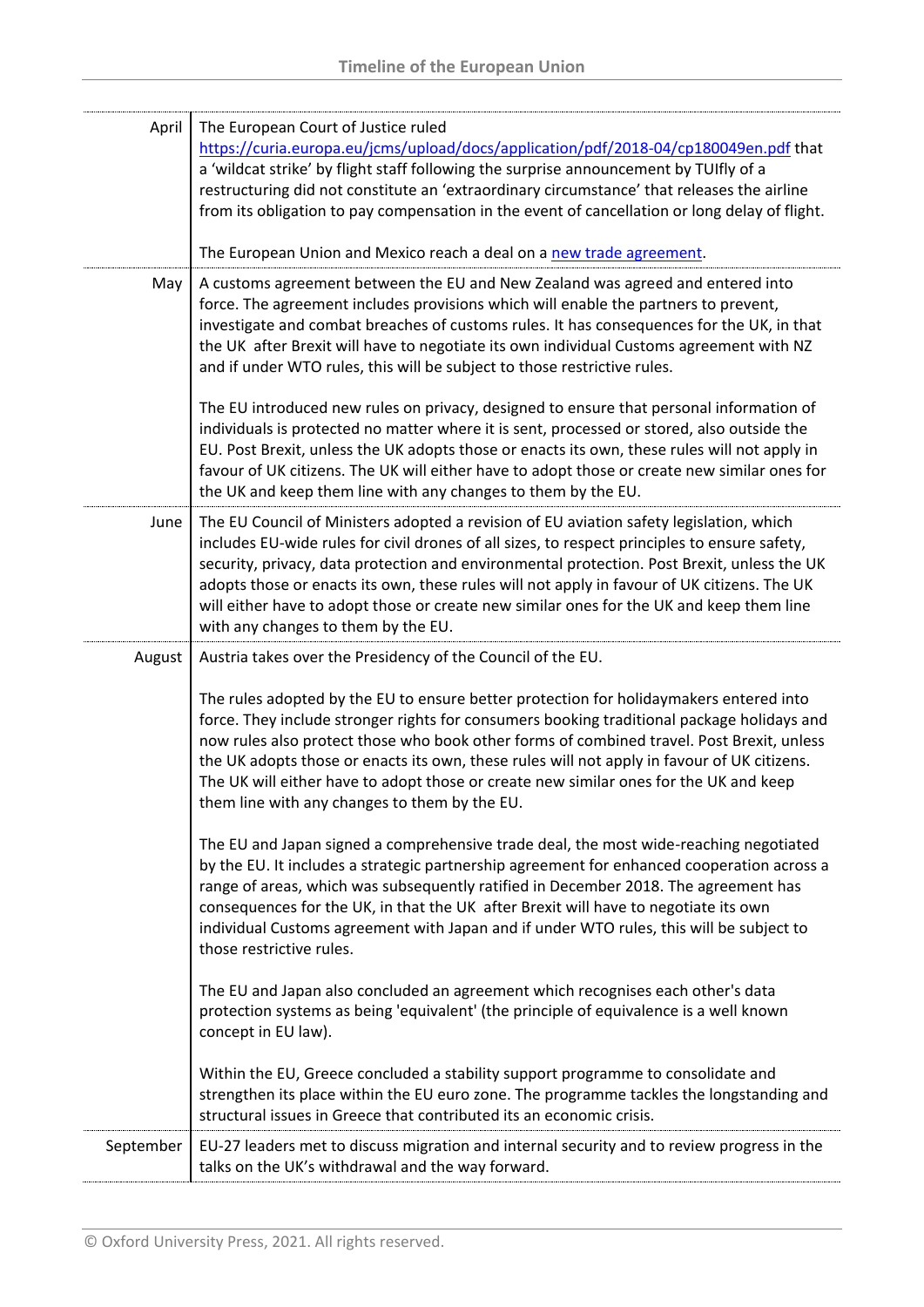| April     | The European Court of Justice ruled<br>https://curia.europa.eu/jcms/upload/docs/application/pdf/2018-04/cp180049en.pdf that<br>a 'wildcat strike' by flight staff following the surprise announcement by TUIfly of a<br>restructuring did not constitute an 'extraordinary circumstance' that releases the airline<br>from its obligation to pay compensation in the event of cancellation or long delay of flight.<br>The European Union and Mexico reach a deal on a new trade agreement.                                          |
|-----------|--------------------------------------------------------------------------------------------------------------------------------------------------------------------------------------------------------------------------------------------------------------------------------------------------------------------------------------------------------------------------------------------------------------------------------------------------------------------------------------------------------------------------------------|
| May       | A customs agreement between the EU and New Zealand was agreed and entered into<br>force. The agreement includes provisions which will enable the partners to prevent,<br>investigate and combat breaches of customs rules. It has consequences for the UK, in that<br>the UK after Brexit will have to negotiate its own individual Customs agreement with NZ<br>and if under WTO rules, this will be subject to those restrictive rules.<br>The EU introduced new rules on privacy, designed to ensure that personal information of |
|           | individuals is protected no matter where it is sent, processed or stored, also outside the<br>EU. Post Brexit, unless the UK adopts those or enacts its own, these rules will not apply in<br>favour of UK citizens. The UK will either have to adopt those or create new similar ones for<br>the UK and keep them line with any changes to them by the EU.                                                                                                                                                                          |
| June      | The EU Council of Ministers adopted a revision of EU aviation safety legislation, which<br>includes EU-wide rules for civil drones of all sizes, to respect principles to ensure safety,<br>security, privacy, data protection and environmental protection. Post Brexit, unless the UK<br>adopts those or enacts its own, these rules will not apply in favour of UK citizens. The UK<br>will either have to adopt those or create new similar ones for the UK and keep them line<br>with any changes to them by the EU.            |
| August    | Austria takes over the Presidency of the Council of the EU.                                                                                                                                                                                                                                                                                                                                                                                                                                                                          |
|           | The rules adopted by the EU to ensure better protection for holidaymakers entered into<br>force. They include stronger rights for consumers booking traditional package holidays and<br>now rules also protect those who book other forms of combined travel. Post Brexit, unless<br>the UK adopts those or enacts its own, these rules will not apply in favour of UK citizens.<br>The UK will either have to adopt those or create new similar ones for the UK and keep<br>them line with any changes to them by the EU.           |
|           | The EU and Japan signed a comprehensive trade deal, the most wide-reaching negotiated<br>by the EU. It includes a strategic partnership agreement for enhanced cooperation across a<br>range of areas, which was subsequently ratified in December 2018. The agreement has<br>consequences for the UK, in that the UK after Brexit will have to negotiate its own<br>individual Customs agreement with Japan and if under WTO rules, this will be subject to<br>those restrictive rules.                                             |
|           | The EU and Japan also concluded an agreement which recognises each other's data<br>protection systems as being 'equivalent' (the principle of equivalence is a well known<br>concept in EU law).                                                                                                                                                                                                                                                                                                                                     |
|           | Within the EU, Greece concluded a stability support programme to consolidate and<br>strengthen its place within the EU euro zone. The programme tackles the longstanding and<br>structural issues in Greece that contributed its an economic crisis.                                                                                                                                                                                                                                                                                 |
| September | EU-27 leaders met to discuss migration and internal security and to review progress in the<br>talks on the UK's withdrawal and the way forward.                                                                                                                                                                                                                                                                                                                                                                                      |
|           |                                                                                                                                                                                                                                                                                                                                                                                                                                                                                                                                      |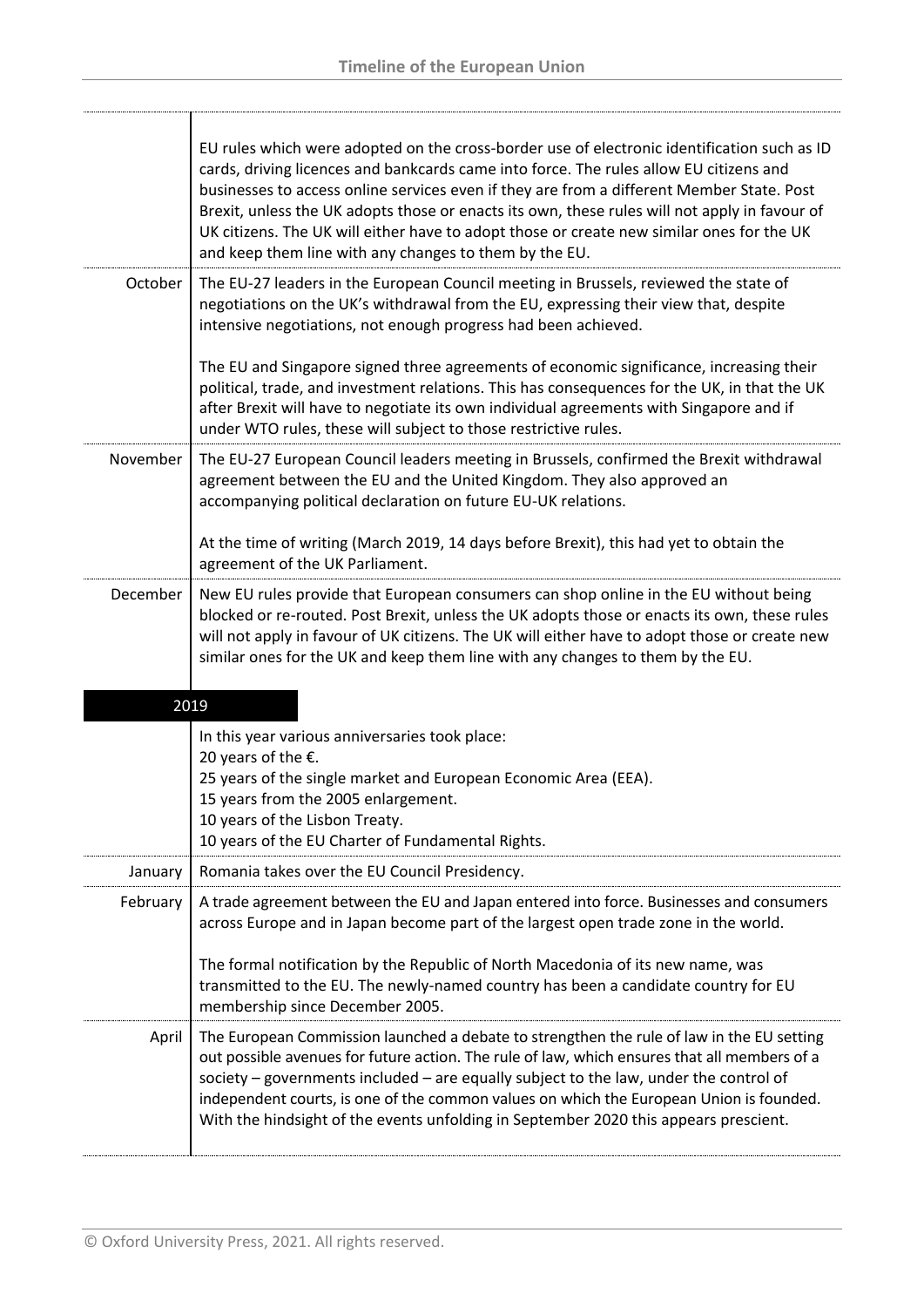|          | EU rules which were adopted on the cross-border use of electronic identification such as ID<br>cards, driving licences and bankcards came into force. The rules allow EU citizens and<br>businesses to access online services even if they are from a different Member State. Post<br>Brexit, unless the UK adopts those or enacts its own, these rules will not apply in favour of<br>UK citizens. The UK will either have to adopt those or create new similar ones for the UK<br>and keep them line with any changes to them by the EU. |
|----------|--------------------------------------------------------------------------------------------------------------------------------------------------------------------------------------------------------------------------------------------------------------------------------------------------------------------------------------------------------------------------------------------------------------------------------------------------------------------------------------------------------------------------------------------|
| October  | The EU-27 leaders in the European Council meeting in Brussels, reviewed the state of<br>negotiations on the UK's withdrawal from the EU, expressing their view that, despite<br>intensive negotiations, not enough progress had been achieved.                                                                                                                                                                                                                                                                                             |
|          | The EU and Singapore signed three agreements of economic significance, increasing their<br>political, trade, and investment relations. This has consequences for the UK, in that the UK<br>after Brexit will have to negotiate its own individual agreements with Singapore and if<br>under WTO rules, these will subject to those restrictive rules.                                                                                                                                                                                      |
| November | The EU-27 European Council leaders meeting in Brussels, confirmed the Brexit withdrawal<br>agreement between the EU and the United Kingdom. They also approved an<br>accompanying political declaration on future EU-UK relations.                                                                                                                                                                                                                                                                                                         |
|          | At the time of writing (March 2019, 14 days before Brexit), this had yet to obtain the<br>agreement of the UK Parliament.                                                                                                                                                                                                                                                                                                                                                                                                                  |
| December | New EU rules provide that European consumers can shop online in the EU without being<br>blocked or re-routed. Post Brexit, unless the UK adopts those or enacts its own, these rules<br>will not apply in favour of UK citizens. The UK will either have to adopt those or create new<br>similar ones for the UK and keep them line with any changes to them by the EU.                                                                                                                                                                    |
|          | 2019                                                                                                                                                                                                                                                                                                                                                                                                                                                                                                                                       |
|          | In this year various anniversaries took place:<br>20 years of the $E$ .<br>25 years of the single market and European Economic Area (EEA).<br>15 years from the 2005 enlargement.<br>10 years of the Lisbon Treaty.<br>10 years of the EU Charter of Fundamental Rights.                                                                                                                                                                                                                                                                   |
| January  | Romania takes over the EU Council Presidency.                                                                                                                                                                                                                                                                                                                                                                                                                                                                                              |
| February | A trade agreement between the EU and Japan entered into force. Businesses and consumers<br>across Europe and in Japan become part of the largest open trade zone in the world.<br>The formal notification by the Republic of North Macedonia of its new name, was<br>transmitted to the EU. The newly-named country has been a candidate country for EU<br>membership since December 2005.                                                                                                                                                 |
| April    | The European Commission launched a debate to strengthen the rule of law in the EU setting<br>out possible avenues for future action. The rule of law, which ensures that all members of a<br>society - governments included - are equally subject to the law, under the control of<br>independent courts, is one of the common values on which the European Union is founded.                                                                                                                                                              |

With the hindsight of the events unfolding in September 2020 this appears prescient.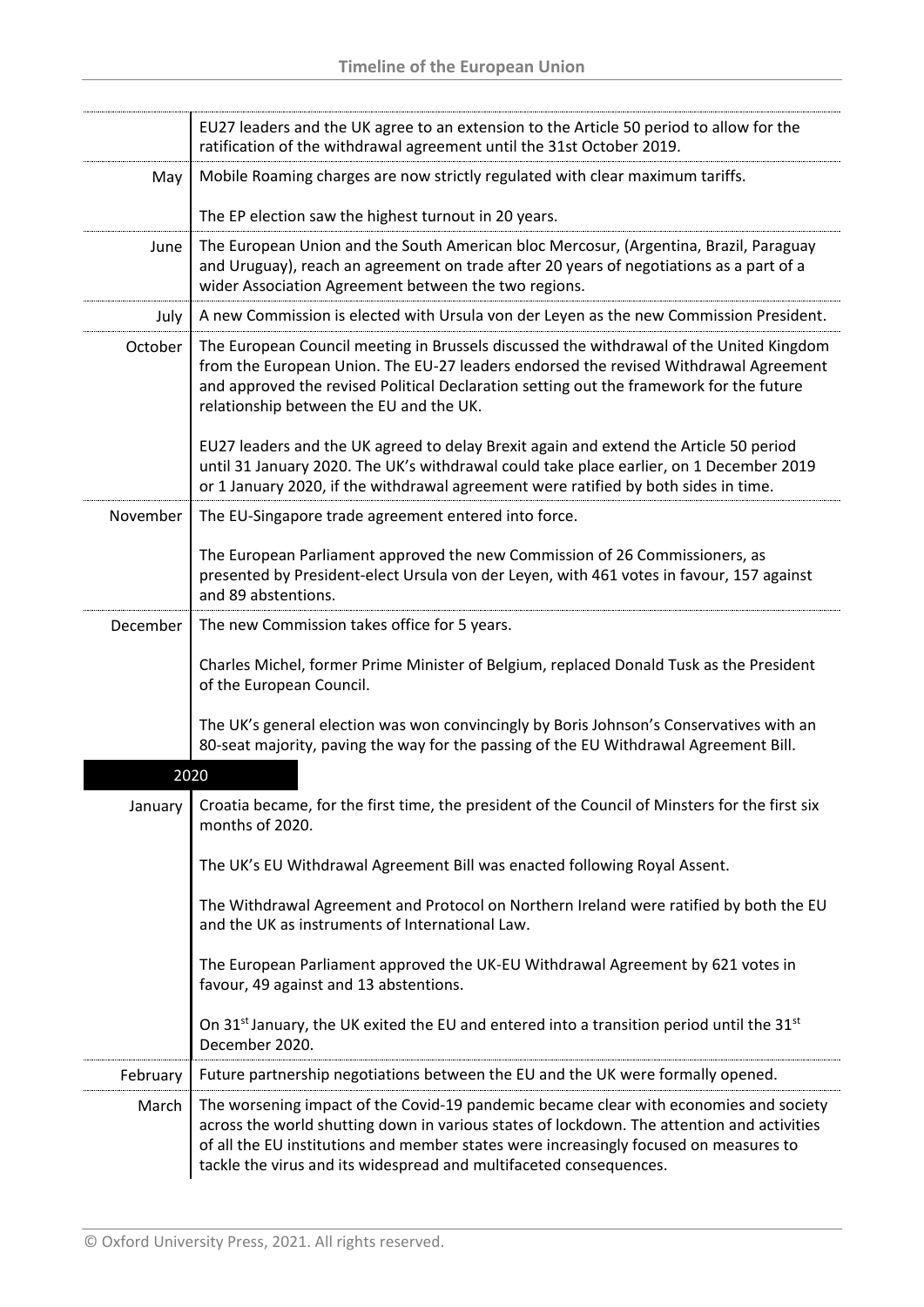|          | EU27 leaders and the UK agree to an extension to the Article 50 period to allow for the<br>ratification of the withdrawal agreement until the 31st October 2019.                                                                                                                                                                                   |
|----------|----------------------------------------------------------------------------------------------------------------------------------------------------------------------------------------------------------------------------------------------------------------------------------------------------------------------------------------------------|
| May      | Mobile Roaming charges are now strictly regulated with clear maximum tariffs.                                                                                                                                                                                                                                                                      |
|          | The EP election saw the highest turnout in 20 years.                                                                                                                                                                                                                                                                                               |
| June     | The European Union and the South American bloc Mercosur, (Argentina, Brazil, Paraguay<br>and Uruguay), reach an agreement on trade after 20 years of negotiations as a part of a<br>wider Association Agreement between the two regions.                                                                                                           |
| July     | A new Commission is elected with Ursula von der Leyen as the new Commission President.                                                                                                                                                                                                                                                             |
| October  | The European Council meeting in Brussels discussed the withdrawal of the United Kingdom<br>from the European Union. The EU-27 leaders endorsed the revised Withdrawal Agreement<br>and approved the revised Political Declaration setting out the framework for the future<br>relationship between the EU and the UK.                              |
|          | EU27 leaders and the UK agreed to delay Brexit again and extend the Article 50 period<br>until 31 January 2020. The UK's withdrawal could take place earlier, on 1 December 2019<br>or 1 January 2020, if the withdrawal agreement were ratified by both sides in time.                                                                            |
| November | The EU-Singapore trade agreement entered into force.                                                                                                                                                                                                                                                                                               |
|          | The European Parliament approved the new Commission of 26 Commissioners, as<br>presented by President-elect Ursula von der Leyen, with 461 votes in favour, 157 against<br>and 89 abstentions.                                                                                                                                                     |
| December | The new Commission takes office for 5 years.                                                                                                                                                                                                                                                                                                       |
|          | Charles Michel, former Prime Minister of Belgium, replaced Donald Tusk as the President<br>of the European Council.                                                                                                                                                                                                                                |
|          | The UK's general election was won convincingly by Boris Johnson's Conservatives with an<br>80-seat majority, paving the way for the passing of the EU Withdrawal Agreement Bill.                                                                                                                                                                   |
|          | 2020                                                                                                                                                                                                                                                                                                                                               |
| January  | Croatia became, for the first time, the president of the Council of Minsters for the first six<br>months of 2020.                                                                                                                                                                                                                                  |
|          | The UK's EU Withdrawal Agreement Bill was enacted following Royal Assent.                                                                                                                                                                                                                                                                          |
|          | The Withdrawal Agreement and Protocol on Northern Ireland were ratified by both the EU<br>and the UK as instruments of International Law.                                                                                                                                                                                                          |
|          | The European Parliament approved the UK-EU Withdrawal Agreement by 621 votes in<br>favour, 49 against and 13 abstentions.                                                                                                                                                                                                                          |
|          | On 31 <sup>st</sup> January, the UK exited the EU and entered into a transition period until the 31 <sup>st</sup><br>December 2020.                                                                                                                                                                                                                |
| February | Future partnership negotiations between the EU and the UK were formally opened.                                                                                                                                                                                                                                                                    |
| March    | The worsening impact of the Covid-19 pandemic became clear with economies and society<br>across the world shutting down in various states of lockdown. The attention and activities<br>of all the EU institutions and member states were increasingly focused on measures to<br>tackle the virus and its widespread and multifaceted consequences. |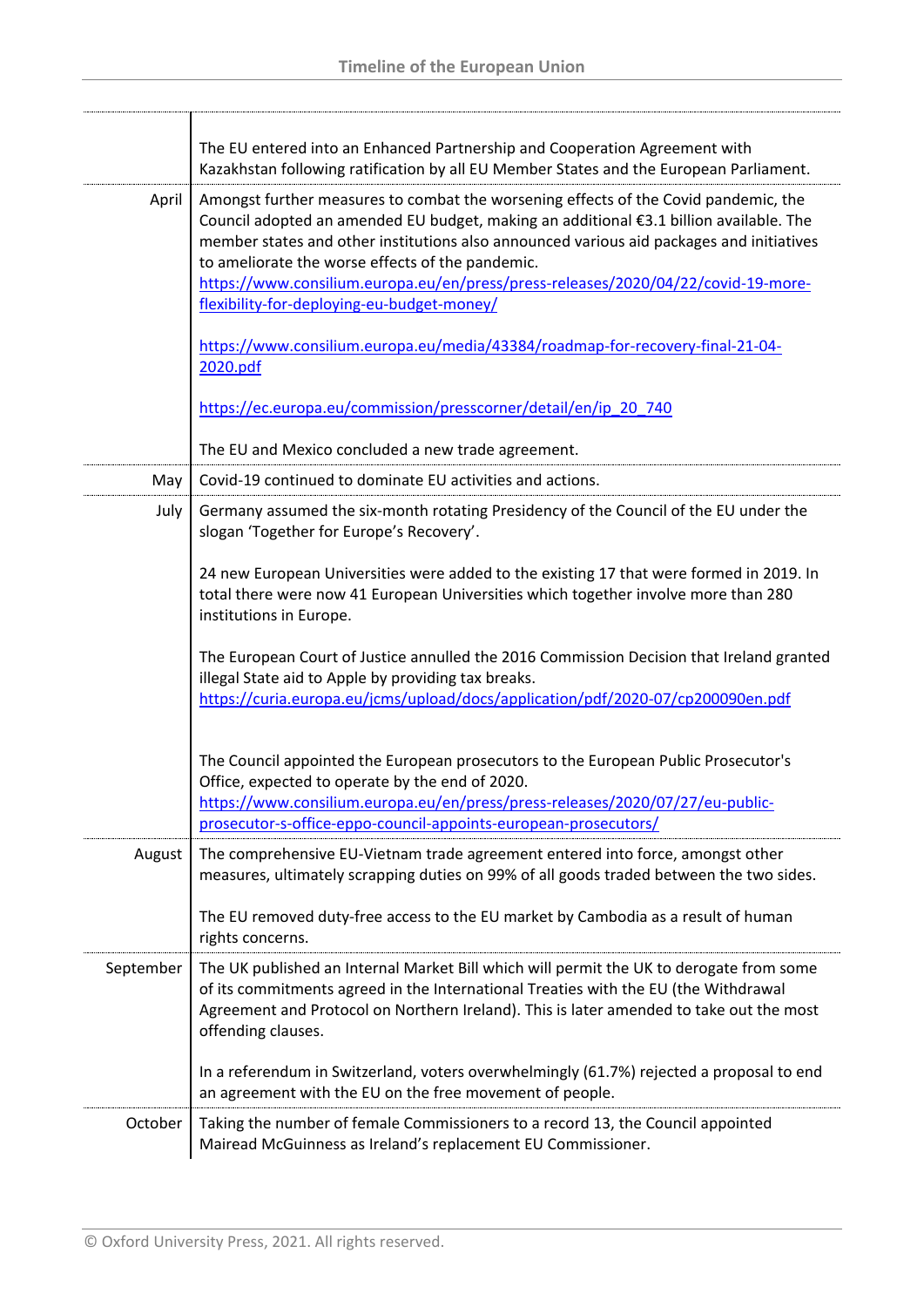|           | The EU entered into an Enhanced Partnership and Cooperation Agreement with<br>Kazakhstan following ratification by all EU Member States and the European Parliament.                                                                                                                                                                                                                                               |
|-----------|--------------------------------------------------------------------------------------------------------------------------------------------------------------------------------------------------------------------------------------------------------------------------------------------------------------------------------------------------------------------------------------------------------------------|
| April     | Amongst further measures to combat the worsening effects of the Covid pandemic, the<br>Council adopted an amended EU budget, making an additional €3.1 billion available. The<br>member states and other institutions also announced various aid packages and initiatives<br>to ameliorate the worse effects of the pandemic.<br>https://www.consilium.europa.eu/en/press/press-releases/2020/04/22/covid-19-more- |
|           | flexibility-for-deploying-eu-budget-money/                                                                                                                                                                                                                                                                                                                                                                         |
|           | https://www.consilium.europa.eu/media/43384/roadmap-for-recovery-final-21-04-<br>2020.pdf                                                                                                                                                                                                                                                                                                                          |
|           | https://ec.europa.eu/commission/presscorner/detail/en/ip_20_740                                                                                                                                                                                                                                                                                                                                                    |
|           | The EU and Mexico concluded a new trade agreement.                                                                                                                                                                                                                                                                                                                                                                 |
| May       | Covid-19 continued to dominate EU activities and actions.                                                                                                                                                                                                                                                                                                                                                          |
| July      | Germany assumed the six-month rotating Presidency of the Council of the EU under the<br>slogan 'Together for Europe's Recovery'.                                                                                                                                                                                                                                                                                   |
|           | 24 new European Universities were added to the existing 17 that were formed in 2019. In<br>total there were now 41 European Universities which together involve more than 280<br>institutions in Europe.                                                                                                                                                                                                           |
|           | The European Court of Justice annulled the 2016 Commission Decision that Ireland granted<br>illegal State aid to Apple by providing tax breaks.<br>https://curia.europa.eu/jcms/upload/docs/application/pdf/2020-07/cp200090en.pdf                                                                                                                                                                                 |
|           | The Council appointed the European prosecutors to the European Public Prosecutor's<br>Office, expected to operate by the end of 2020.<br>https://www.consilium.europa.eu/en/press/press-releases/2020/07/27/eu-public-<br>prosecutor-s-office-eppo-council-appoints-european-prosecutors/                                                                                                                          |
| August    | The comprehensive EU-Vietnam trade agreement entered into force, amongst other<br>measures, ultimately scrapping duties on 99% of all goods traded between the two sides.                                                                                                                                                                                                                                          |
|           | The EU removed duty-free access to the EU market by Cambodia as a result of human<br>rights concerns.                                                                                                                                                                                                                                                                                                              |
| September | The UK published an Internal Market Bill which will permit the UK to derogate from some<br>of its commitments agreed in the International Treaties with the EU (the Withdrawal<br>Agreement and Protocol on Northern Ireland). This is later amended to take out the most<br>offending clauses.                                                                                                                    |
|           | In a referendum in Switzerland, voters overwhelmingly (61.7%) rejected a proposal to end<br>an agreement with the EU on the free movement of people.                                                                                                                                                                                                                                                               |
| October   | Taking the number of female Commissioners to a record 13, the Council appointed<br>Mairead McGuinness as Ireland's replacement EU Commissioner.                                                                                                                                                                                                                                                                    |